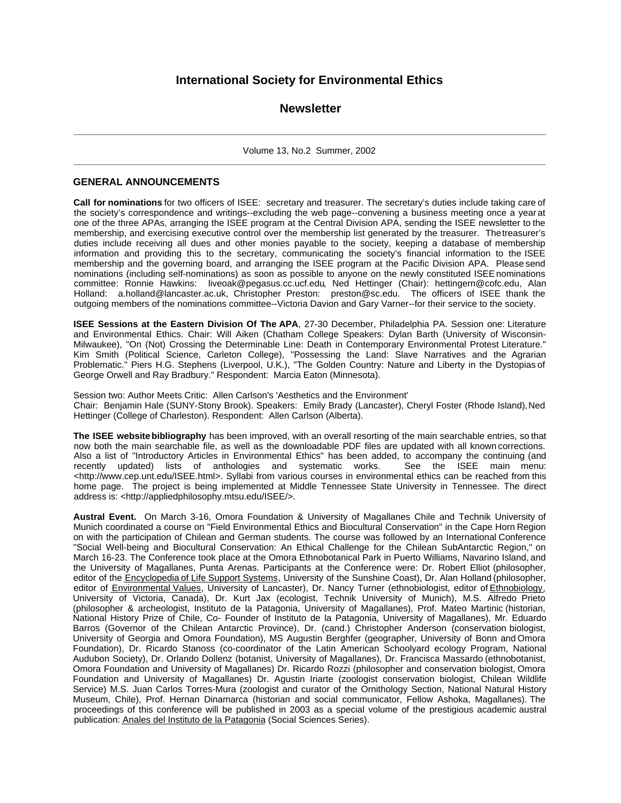# **International Society for Environmental Ethics**

# **Newsletter**

**\_ \_ \_ \_ \_ \_ \_ \_ \_ \_ \_ \_ \_ \_ \_ \_ \_ \_ \_ \_ \_ \_ \_ \_ \_ \_ \_ \_ \_ \_ \_ \_ \_ \_ \_ \_ \_ \_ \_ \_ \_ \_ \_ \_ \_ \_ \_ \_ \_ \_ \_ \_ \_ \_ \_ \_ \_ \_ \_ \_ \_ \_ \_ \_ \_ \_ \_ \_ \_ \_ \_ \_ \_ \_ \_ \_ \_ \_ \_ \_ \_ \_ \_ \_ \_ \_ \_ \_ \_ \_ \_ \_ \_** Volume 13, No.2 Summer, 2002 **\_\_\_\_\_\_\_\_\_\_\_\_\_\_\_\_\_\_\_\_\_\_\_\_\_\_\_\_\_\_\_\_\_\_\_\_\_\_\_\_\_\_\_\_\_\_\_\_\_\_\_\_\_\_\_\_\_\_\_\_\_\_\_\_\_\_\_\_\_\_\_\_\_\_\_\_\_\_\_\_\_\_\_\_\_\_\_\_\_\_\_\_\_**

## **GENERAL ANNOUNCEMENTS**

**Call for nominations** for two officers of ISEE: secretary and treasurer. The secretary's duties include taking care of the society's correspondence and writings--excluding the web page--convening a business meeting once a year at one of the three APAs, arranging the ISEE program at the Central Division APA, sending the ISEE newsletter to the membership, and exercising executive control over the membership list generated by the treasurer. The treasurer's duties include receiving all dues and other monies payable to the society, keeping a database of membership information and providing this to the secretary, communicating the society's financial information to the ISEE membership and the governing board, and arranging the ISEE program at the Pacific Division APA. Please send nominations (including self-nominations) as soon as possible to anyone on the newly constituted ISEE nominations committee: Ronnie Hawkins: liveoak@pegasus.cc.ucf.edu, Ned Hettinger (Chair): hettingern@cofc.edu, Alan Holland: a.holland@lancaster.ac.uk, Christopher Preston: preston@sc.edu. The officers of ISEE thank the outgoing members of the nominations committee--Victoria Davion and Gary Varner--for their service to the society.

**ISEE Sessions at the Eastern Division Of The APA**, 27-30 December, Philadelphia PA. Session one: Literature and Environmental Ethics. Chair: Will Aiken (Chatham College Speakers: Dylan Barth (University of Wisconsin-Milwaukee), "On (Not) Crossing the Determinable Line: Death in Contemporary Environmental Protest Literature." Kim Smith (Political Science, Carleton College), "Possessing the Land: Slave Narratives and the Agrarian Problematic." Piers H.G. Stephens (Liverpool, U.K.), "The Golden Country: Nature and Liberty in the Dystopias of George Orwell and Ray Bradbury." Respondent: Marcia Eaton (Minnesota).

Session two: Author Meets Critic: Allen Carlson's 'Aesthetics and the Environment' Chair: Benjamin Hale (SUNY-Stony Brook). Speakers: Emily Brady (Lancaster), Cheryl Foster (Rhode Island), Ned Hettinger (College of Charleston). Respondent: Allen Carlson (Alberta).

**The ISEE website bibliography** has been improved, with an overall resorting of the main searchable entries, so that now both the main searchable file, as well as the downloadable PDF files are updated with all known corrections. Also a list of "Introductory Articles in Environmental Ethics" has been added, to accompany the continuing (and recently updated) lists of anthologies and systematic works. See the ISEE main menu: <http://www.cep.unt.edu/ISEE.html>. Syllabi from various courses in environmental ethics can be reached from this home page. The project is being implemented at Middle Tennessee State University in Tennessee. The direct address is: <http://appliedphilosophy.mtsu.edu/ISEE/>.

**Austral Event.** On March 3-16, Omora Foundation & University of Magallanes Chile and Technik University of Munich coordinated a course on "Field Environmental Ethics and Biocultural Conservation" in the Cape Horn Region on with the participation of Chilean and German students. The course was followed by an International Conference "Social Well-being and Biocultural Conservation: An Ethical Challenge for the Chilean SubAntarctic Region," on March 16-23. The Conference took place at the Omora Ethnobotanical Park in Puerto Williams, Navarino Island, and the University of Magallanes, Punta Arenas. Participants at the Conference were: Dr. Robert Elliot (philosopher, editor of the Encyclopedia of Life Support Systems, University of the Sunshine Coast), Dr. Alan Holland (philosopher, editor of Environmental Values, University of Lancaster), Dr. Nancy Turner (ethnobiologist, editor of Ethnobiology, University of Victoria, Canada), Dr. Kurt Jax (ecologist, Technik University of Munich), M.S. Alfredo Prieto (philosopher & archeologist, Instituto de la Patagonia, University of Magallanes), Prof. Mateo Martinic (historian, National History Prize of Chile, Co- Founder of Instituto de la Patagonia, University of Magallanes), Mr. Eduardo Barros (Governor of the Chilean Antarctic Province), Dr. (cand.) Christopher Anderson (conservation biologist, University of Georgia and Omora Foundation), MS Augustin Berghfer (geographer, University of Bonn and Omora Foundation), Dr. Ricardo Stanoss (co-coordinator of the Latin American Schoolyard ecology Program, National Audubon Society), Dr. Orlando Dollenz (botanist, University of Magallanes), Dr. Francisca Massardo (ethnobotanist, Omora Foundation and University of Magallanes) Dr. Ricardo Rozzi (philosopher and conservation biologist, Omora Foundation and University of Magallanes) Dr. Agustin Iriarte (zoologist conservation biologist, Chilean Wildlife Service) M.S. Juan Carlos Torres-Mura (zoologist and curator of the Ornithology Section, National Natural History Museum, Chile), Prof. Hernan Dinamarca (historian and social communicator, Fellow Ashoka, Magallanes). The proceedings of this conference will be published in 2003 as a special volume of the prestigious academic austral publication: Anales del Instituto de la Patagonia (Social Sciences Series).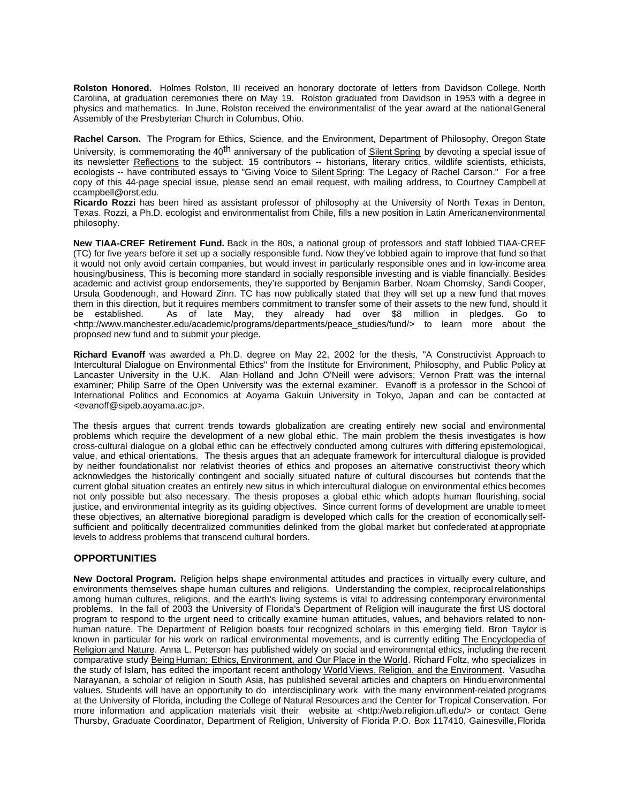**Rolston Honored.** Holmes Rolston, III received an honorary doctorate of letters from Davidson College, North Carolina, at graduation ceremonies there on May 19. Rolston graduated from Davidson in 1953 with a degree in physics and mathematics. In June, Rolston received the environmentalist of the year award at the national General Assembly of the Presbyterian Church in Columbus, Ohio.

**Rachel Carson.** The Program for Ethics, Science, and the Environment, Department of Philosophy, Oregon State University, is commemorating the 40<sup>th</sup> anniversary of the publication of Silent Spring by devoting a special issue of its newsletter Reflections to the subject. 15 contributors -- historians, literary critics, wildlife scientists, ethicists, ecologists -- have contributed essays to "Giving Voice to Silent Spring: The Legacy of Rachel Carson." For a free copy of this 44-page special issue, please send an email request, with mailing address, to Courtney Campbell at ccampbell@orst.edu.

**Ricardo Rozzi** has been hired as assistant professor of philosophy at the University of North Texas in Denton, Texas. Rozzi, a Ph.D. ecologist and environmentalist from Chile, fills a new position in Latin American environmental philosophy.

**New TIAA-CREF Retirement Fund.** Back in the 80s, a national group of professors and staff lobbied TIAA-CREF (TC) for five years before it set up a socially responsible fund. Now they've lobbied again to improve that fund so that it would not only avoid certain companies, but would invest in particularly responsible ones and in low-income area housing/business, This is becoming more standard in socially responsible investing and is viable financially. Besides academic and activist group endorsements, they're supported by Benjamin Barber, Noam Chomsky, Sandi Cooper, Ursula Goodenough, and Howard Zinn. TC has now publically stated that they will set up a new fund that moves them in this direction, but it requires members commitment to transfer some of their assets to the new fund, should it<br>be established. As of late May, they already had over \$8 million in pledges. Go to As of late May, they already had over \$8 million in pledges. Go to <http://www.manchester.edu/academic/programs/departments/peace\_studies/fund/> to learn more about the proposed new fund and to submit your pledge.

**Richard Evanoff** was awarded a Ph.D. degree on May 22, 2002 for the thesis, "A Constructivist Approach to Intercultural Dialogue on Environmental Ethics" from the Institute for Environment, Philosophy, and Public Policy at Lancaster University in the U.K. Alan Holland and John O'Neill were advisors; Vernon Pratt was the internal examiner; Philip Sarre of the Open University was the external examiner. Evanoff is a professor in the School of International Politics and Economics at Aoyama Gakuin University in Tokyo, Japan and can be contacted at <evanoff@sipeb.aoyama.ac.jp>.

The thesis argues that current trends towards globalization are creating entirely new social and environmental problems which require the development of a new global ethic. The main problem the thesis investigates is how cross-cultural dialogue on a global ethic can be effectively conducted among cultures with differing epistemological, value, and ethical orientations. The thesis argues that an adequate framework for intercultural dialogue is provided by neither foundationalist nor relativist theories of ethics and proposes an alternative constructivist theory which acknowledges the historically contingent and socially situated nature of cultural discourses but contends that the current global situation creates an entirely new situs in which intercultural dialogue on environmental ethics becomes not only possible but also necessary. The thesis proposes a global ethic which adopts human flourishing, social justice, and environmental integrity as its guiding objectives. Since current forms of development are unable to meet these objectives, an alternative bioregional paradigm is developed which calls for the creation of economically selfsufficient and politically decentralized communities delinked from the global market but confederated at appropriate levels to address problems that transcend cultural borders.

# **OPPORTUNITIES**

**New Doctoral Program.** Religion helps shape environmental attitudes and practices in virtually every culture, and environments themselves shape human cultures and religions. Understanding the complex, reciprocal relationships among human cultures, religions, and the earth's living systems is vital to addressing contemporary environmental problems. In the fall of 2003 the University of Florida's Department of Religion will inaugurate the first US doctoral program to respond to the urgent need to critically examine human attitudes, values, and behaviors related to nonhuman nature. The Department of Religion boasts four recognized scholars in this emerging field. Bron Taylor is known in particular for his work on radical environmental movements, and is currently editing The Encyclopedia of Religion and Nature. Anna L. Peterson has published widely on social and environmental ethics, including the recent comparative study Being Human: Ethics, Environment, and Our Place in the World. Richard Foltz, who specializes in the study of Islam, has edited the important recent anthology World Views, Religion, and the Environment. Vasudha Narayanan, a scholar of religion in South Asia, has published several articles and chapters on Hindu environmental values. Students will have an opportunity to do interdisciplinary work with the many environment-related programs at the University of Florida, including the College of Natural Resources and the Center for Tropical Conservation. For more information and application materials visit their website at <http://web.religion.ufl.edu/> or contact Gene Thursby, Graduate Coordinator, Department of Religion, University of Florida P.O. Box 117410, Gainesville, Florida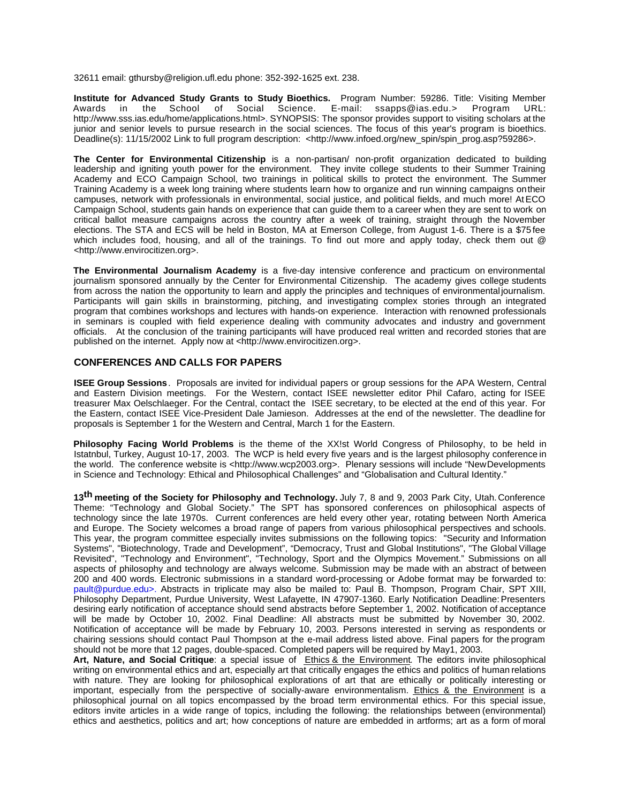32611 email: gthursby@religion.ufl.edu phone: 352-392-1625 ext. 238.

**Institute for Advanced Study Grants to Study Bioethics.** Program Number: 59286. Title: Visiting Member Awards in the School of Social Science. E-mail: ssapps@ias.edu.> Program URL: http://www.sss.ias.edu/home/applications.html>. SYNOPSIS: The sponsor provides support to visiting scholars at the junior and senior levels to pursue research in the social sciences. The focus of this year's program is bioethics. Deadline(s): 11/15/2002 Link to full program description: <http://www.infoed.org/new\_spin/spin\_prog.asp?59286>.

**The Center for Environmental Citizenship** is a non-partisan/ non-profit organization dedicated to building leadership and igniting youth power for the environment. They invite college students to their Summer Training Academy and ECO Campaign School, two trainings in political skills to protect the environment. The Summer Training Academy is a week long training where students learn how to organize and run winning campaigns on their campuses, network with professionals in environmental, social justice, and political fields, and much more! At ECO Campaign School, students gain hands on experience that can guide them to a career when they are sent to work on critical ballot measure campaigns across the country after a week of training, straight through the November elections. The STA and ECS will be held in Boston, MA at Emerson College, from August 1-6. There is a \$75 fee which includes food, housing, and all of the trainings. To find out more and apply today, check them out @ <http://www.envirocitizen.org>.

**The Environmental Journalism Academy** is a five-day intensive conference and practicum on environmental journalism sponsored annually by the Center for Environmental Citizenship. The academy gives college students from across the nation the opportunity to learn and apply the principles and techniques of environmental journalism. Participants will gain skills in brainstorming, pitching, and investigating complex stories through an integrated program that combines workshops and lectures with hands-on experience. Interaction with renowned professionals in seminars is coupled with field experience dealing with community advocates and industry and government officials. At the conclusion of the training participants will have produced real written and recorded stories that are published on the internet. Apply now at <http://www.envirocitizen.org>.

# **CONFERENCES AND CALLS FOR PAPERS**

**ISEE Group Sessions**. Proposals are invited for individual papers or group sessions for the APA Western, Central and Eastern Division meetings. For the Western, contact ISEE newsletter editor Phil Cafaro, acting for ISEE treasurer Max Oelschlaeger. For the Central, contact the ISEE secretary, to be elected at the end of this year. For the Eastern, contact ISEE Vice-President Dale Jamieson. Addresses at the end of the newsletter. The deadline for proposals is September 1 for the Western and Central, March 1 for the Eastern.

**Philosophy Facing World Problems** is the theme of the XX!st World Congress of Philosophy, to be held in Istatnbul, Turkey, August 10-17, 2003. The WCP is held every five years and is the largest philosophy conference in the world. The conference website is <http://www.wcp2003.org>. Plenary sessions will include "New Developments in Science and Technology: Ethical and Philosophical Challenges" and "Globalisation and Cultural Identity."

**13th meeting of the Society for Philosophy and Technology.** July 7, 8 and 9, 2003 Park City, Utah. Conference Theme: "Technology and Global Society." The SPT has sponsored conferences on philosophical aspects of technology since the late 1970s. Current conferences are held every other year, rotating between North America and Europe. The Society welcomes a broad range of papers from various philosophical perspectives and schools. This year, the program committee especially invites submissions on the following topics: "Security and Information Systems", "Biotechnology, Trade and Development", "Democracy, Trust and Global Institutions", "The Global Village Revisited", "Technology and Environment", "Technology, Sport and the Olympics Movement." Submissions on all aspects of philosophy and technology are always welcome. Submission may be made with an abstract of between 200 and 400 words. Electronic submissions in a standard word-processing or Adobe format may be forwarded to: pault@purdue.edu>. Abstracts in triplicate may also be mailed to: Paul B. Thompson, Program Chair, SPT XIII, Philosophy Department, Purdue University, West Lafayette, IN 47907-1360. Early Notification Deadline: Presenters desiring early notification of acceptance should send abstracts before September 1, 2002. Notification of acceptance will be made by October 10, 2002. Final Deadline: All abstracts must be submitted by November 30, 2002. Notification of acceptance will be made by February 10, 2003. Persons interested in serving as respondents or chairing sessions should contact Paul Thompson at the e-mail address listed above. Final papers for the program should not be more that 12 pages, double-spaced. Completed papers will be required by May1, 2003.

**Art, Nature, and Social Critique**: a special issue of Ethics & the Environment. The editors invite philosophical writing on environmental ethics and art, especially art that critically engages the ethics and politics of human relations with nature. They are looking for philosophical explorations of art that are ethically or politically interesting or important, especially from the perspective of socially-aware environmentalism. Ethics & the Environment is a philosophical journal on all topics encompassed by the broad term environmental ethics. For this special issue, editors invite articles in a wide range of topics, including the following: the relationships between (environmental) ethics and aesthetics, politics and art; how conceptions of nature are embedded in artforms; art as a form of moral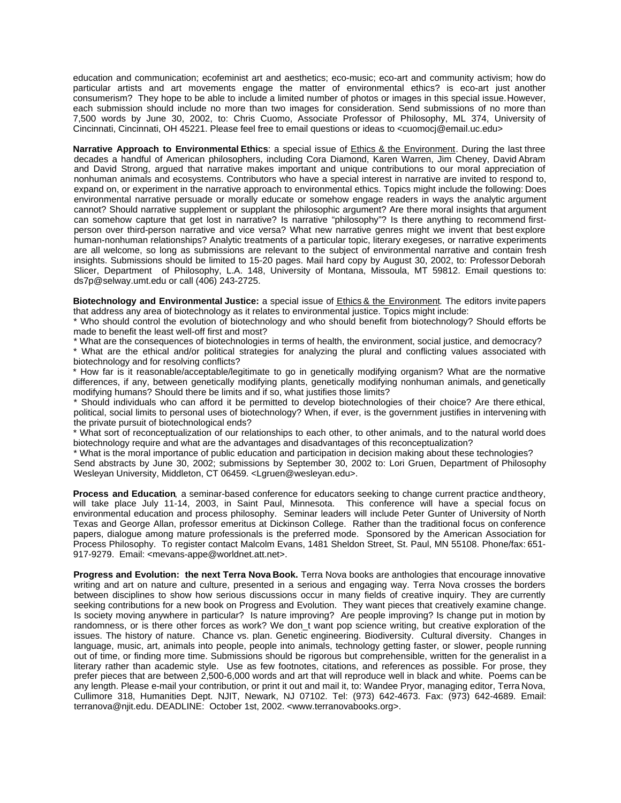education and communication; ecofeminist art and aesthetics; eco-music; eco-art and community activism; how do particular artists and art movements engage the matter of environmental ethics? is eco-art just another consumerism? They hope to be able to include a limited number of photos or images in this special issue. However, each submission should include no more than two images for consideration. Send submissions of no more than 7,500 words by June 30, 2002, to: Chris Cuomo, Associate Professor of Philosophy, ML 374, University of Cincinnati, Cincinnati, OH 45221. Please feel free to email questions or ideas to <cuomocj@email.uc.edu>

**Narrative Approach to Environmental Ethics**: a special issue of Ethics & the Environment. During the last three decades a handful of American philosophers, including Cora Diamond, Karen Warren, Jim Cheney, David Abram and David Strong, argued that narrative makes important and unique contributions to our moral appreciation of nonhuman animals and ecosystems. Contributors who have a special interest in narrative are invited to respond to, expand on, or experiment in the narrative approach to environmental ethics. Topics might include the following: Does environmental narrative persuade or morally educate or somehow engage readers in ways the analytic argument cannot? Should narrative supplement or supplant the philosophic argument? Are there moral insights that argument can somehow capture that get lost in narrative? Is narrative "philosophy"? Is there anything to recommend firstperson over third-person narrative and vice versa? What new narrative genres might we invent that best explore human-nonhuman relationships? Analytic treatments of a particular topic, literary exegeses, or narrative experiments are all welcome, so long as submissions are relevant to the subject of environmental narrative and contain fresh insights. Submissions should be limited to 15-20 pages. Mail hard copy by August 30, 2002, to: Professor Deborah Slicer, Department of Philosophy, L.A. 148, University of Montana, Missoula, MT 59812. Email questions to: ds7p@selway.umt.edu or call (406) 243-2725.

**Biotechnology and Environmental Justice:** a special issue of Ethics & the Environment. The editors invite papers that address any area of biotechnology as it relates to environmental justice. Topics might include:

\* Who should control the evolution of biotechnology and who should benefit from biotechnology? Should efforts be made to benefit the least well-off first and most?

\* What are the consequences of biotechnologies in terms of health, the environment, social justice, and democracy?

\* What are the ethical and/or political strategies for analyzing the plural and conflicting values associated with biotechnology and for resolving conflicts?

\* How far is it reasonable/acceptable/legitimate to go in genetically modifying organism? What are the normative differences, if any, between genetically modifying plants, genetically modifying nonhuman animals, and genetically modifying humans? Should there be limits and if so, what justifies those limits?

\* Should individuals who can afford it be permitted to develop biotechnologies of their choice? Are there ethical, political, social limits to personal uses of biotechnology? When, if ever, is the government justifies in intervening with the private pursuit of biotechnological ends?

\* What sort of reconceptualization of our relationships to each other, to other animals, and to the natural world does biotechnology require and what are the advantages and disadvantages of this reconceptualization?

\* What is the moral importance of public education and participation in decision making about these technologies? Send abstracts by June 30, 2002; submissions by September 30, 2002 to: Lori Gruen, Department of Philosophy Wesleyan University, Middleton, CT 06459. <Lgruen@wesleyan.edu>.

**Process and Education**, a seminar-based conference for educators seeking to change current practice and theory, will take place July 11-14, 2003, in Saint Paul, Minnesota. This conference will have a special focus on environmental education and process philosophy. Seminar leaders will include Peter Gunter of University of North Texas and George Allan, professor emeritus at Dickinson College. Rather than the traditional focus on conference papers, dialogue among mature professionals is the preferred mode. Sponsored by the American Association for Process Philosophy. To register contact Malcolm Evans, 1481 Sheldon Street, St. Paul, MN 55108. Phone/fax: 651- 917-9279. Email: <mevans-appe@worldnet.att.net>.

**Progress and Evolution: the next Terra Nova Book.** Terra Nova books are anthologies that encourage innovative writing and art on nature and culture, presented in a serious and engaging way. Terra Nova crosses the borders between disciplines to show how serious discussions occur in many fields of creative inquiry. They are currently seeking contributions for a new book on Progress and Evolution. They want pieces that creatively examine change. Is society moving anywhere in particular? Is nature improving? Are people improving? Is change put in motion by randomness, or is there other forces as work? We don\_t want pop science writing, but creative exploration of the issues. The history of nature. Chance vs. plan. Genetic engineering. Biodiversity. Cultural diversity. Changes in language, music, art, animals into people, people into animals, technology getting faster, or slower, people running out of time, or finding more time. Submissions should be rigorous but comprehensible, written for the generalist in a literary rather than academic style. Use as few footnotes, citations, and references as possible. For prose, they prefer pieces that are between 2,500-6,000 words and art that will reproduce well in black and white. Poems can be any length. Please e-mail your contribution, or print it out and mail it, to: Wandee Pryor, managing editor, Terra Nova, Cullimore 318, Humanities Dept. NJIT, Newark, NJ 07102. Tel: (973) 642-4673. Fax: (973) 642-4689. Email: terranova@njit.edu. DEADLINE: October 1st, 2002. <www.terranovabooks.org>.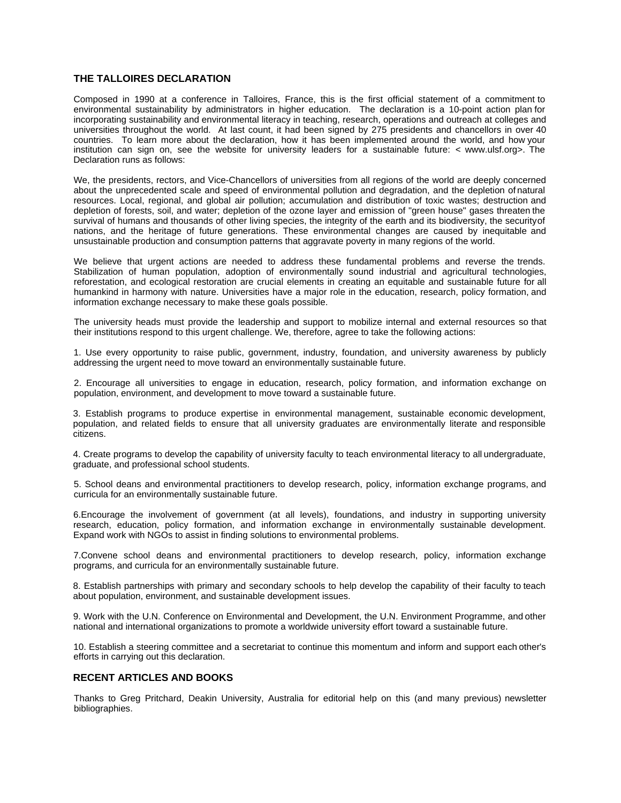# **THE TALLOIRES DECLARATION**

Composed in 1990 at a conference in Talloires, France, this is the first official statement of a commitment to environmental sustainability by administrators in higher education. The declaration is a 10-point action plan for incorporating sustainability and environmental literacy in teaching, research, operations and outreach at colleges and universities throughout the world. At last count, it had been signed by 275 presidents and chancellors in over 40 countries. To learn more about the declaration, how it has been implemented around the world, and how your institution can sign on, see the website for university leaders for a sustainable future: < www.ulsf.org>. The Declaration runs as follows:

We, the presidents, rectors, and Vice-Chancellors of universities from all regions of the world are deeply concerned about the unprecedented scale and speed of environmental pollution and degradation, and the depletion of natural resources. Local, regional, and global air pollution; accumulation and distribution of toxic wastes; destruction and depletion of forests, soil, and water; depletion of the ozone layer and emission of "green house" gases threaten the survival of humans and thousands of other living species, the integrity of the earth and its biodiversity, the security of nations, and the heritage of future generations. These environmental changes are caused by inequitable and unsustainable production and consumption patterns that aggravate poverty in many regions of the world.

We believe that urgent actions are needed to address these fundamental problems and reverse the trends. Stabilization of human population, adoption of environmentally sound industrial and agricultural technologies, reforestation, and ecological restoration are crucial elements in creating an equitable and sustainable future for all humankind in harmony with nature. Universities have a major role in the education, research, policy formation, and information exchange necessary to make these goals possible.

The university heads must provide the leadership and support to mobilize internal and external resources so that their institutions respond to this urgent challenge. We, therefore, agree to take the following actions:

1. Use every opportunity to raise public, government, industry, foundation, and university awareness by publicly addressing the urgent need to move toward an environmentally sustainable future.

2. Encourage all universities to engage in education, research, policy formation, and information exchange on population, environment, and development to move toward a sustainable future.

3. Establish programs to produce expertise in environmental management, sustainable economic development, population, and related fields to ensure that all university graduates are environmentally literate and responsible citizens.

4. Create programs to develop the capability of university faculty to teach environmental literacy to all undergraduate, graduate, and professional school students.

5. School deans and environmental practitioners to develop research, policy, information exchange programs, and curricula for an environmentally sustainable future.

6.Encourage the involvement of government (at all levels), foundations, and industry in supporting university research, education, policy formation, and information exchange in environmentally sustainable development. Expand work with NGOs to assist in finding solutions to environmental problems.

7.Convene school deans and environmental practitioners to develop research, policy, information exchange programs, and curricula for an environmentally sustainable future.

8. Establish partnerships with primary and secondary schools to help develop the capability of their faculty to teach about population, environment, and sustainable development issues.

9. Work with the U.N. Conference on Environmental and Development, the U.N. Environment Programme, and other national and international organizations to promote a worldwide university effort toward a sustainable future.

10. Establish a steering committee and a secretariat to continue this momentum and inform and support each other's efforts in carrying out this declaration.

### **RECENT ARTICLES AND BOOKS**

Thanks to Greg Pritchard, Deakin University, Australia for editorial help on this (and many previous) newsletter bibliographies.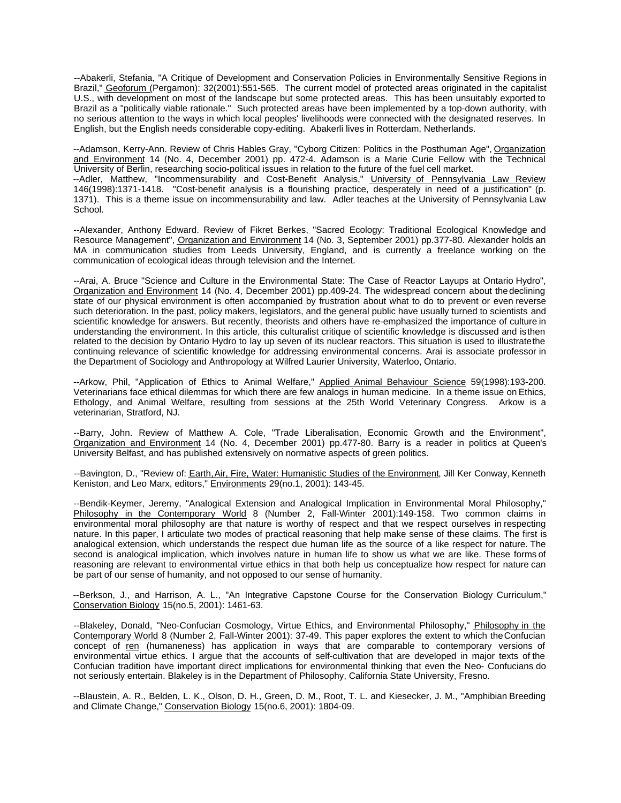--Abakerli, Stefania, "A Critique of Development and Conservation Policies in Environmentally Sensitive Regions in Brazil," Geoforum (Pergamon): 32(2001):551-565. The current model of protected areas originated in the capitalist U.S., with development on most of the landscape but some protected areas. This has been unsuitably exported to Brazil as a "politically viable rationale." Such protected areas have been implemented by a top-down authority, with no serious attention to the ways in which local peoples' livelihoods were connected with the designated reserves. In English, but the English needs considerable copy-editing. Abakerli lives in Rotterdam, Netherlands.

--Adamson, Kerry-Ann. Review of Chris Hables Gray, "Cyborg Citizen: Politics in the Posthuman Age", Organization and Environment 14 (No. 4, December 2001) pp. 472-4. Adamson is a Marie Curie Fellow with the Technical University of Berlin, researching socio-political issues in relation to the future of the fuel cell market.

--Adler, Matthew, "Incommensurability and Cost-Benefit Analysis," University of Pennsylvania Law Review 146(1998):1371-1418. "Cost-benefit analysis is a flourishing practice, desperately in need of a justification" (p. 1371). This is a theme issue on incommensurability and law. Adler teaches at the University of Pennsylvania Law School.

--Alexander, Anthony Edward. Review of Fikret Berkes, "Sacred Ecology: Traditional Ecological Knowledge and Resource Management", Organization and Environment 14 (No. 3, September 2001) pp.377-80. Alexander holds an MA in communication studies from Leeds University, England, and is currently a freelance working on the communication of ecological ideas through television and the Internet.

--Arai, A. Bruce "Science and Culture in the Environmental State: The Case of Reactor Layups at Ontario Hydro", Organization and Environment 14 (No. 4, December 2001) pp.409-24. The widespread concern about the declining state of our physical environment is often accompanied by frustration about what to do to prevent or even reverse such deterioration. In the past, policy makers, legislators, and the general public have usually turned to scientists and scientific knowledge for answers. But recently, theorists and others have re-emphasized the importance of culture in understanding the environment. In this article, this culturalist critique of scientific knowledge is discussed and is then related to the decision by Ontario Hydro to lay up seven of its nuclear reactors. This situation is used to illustrate the continuing relevance of scientific knowledge for addressing environmental concerns. Arai is associate professor in the Department of Sociology and Anthropology at Wilfred Laurier University, Waterloo, Ontario.

--Arkow, Phil, "Application of Ethics to Animal Welfare," Applied Animal Behaviour Science 59(1998):193-200. Veterinarians face ethical dilemmas for which there are few analogs in human medicine. In a theme issue on Ethics, Ethology, and Animal Welfare, resulting from sessions at the 25th World Veterinary Congress. Arkow is a veterinarian, Stratford, NJ.

--Barry, John. Review of Matthew A. Cole, "Trade Liberalisation, Economic Growth and the Environment", Organization and Environment 14 (No. 4, December 2001) pp.477-80. Barry is a reader in politics at Queen's University Belfast, and has published extensively on normative aspects of green politics.

--Bavington, D., "Review of: Earth, Air, Fire, Water: Humanistic Studies of the Environment, Jill Ker Conway, Kenneth Keniston, and Leo Marx, editors," Environments 29(no.1, 2001): 143-45.

--Bendik-Keymer, Jeremy, "Analogical Extension and Analogical Implication in Environmental Moral Philosophy," Philosophy in the Contemporary World 8 (Number 2, Fall-Winter 2001):149-158. Two common claims in environmental moral philosophy are that nature is worthy of respect and that we respect ourselves in respecting nature. In this paper, I articulate two modes of practical reasoning that help make sense of these claims. The first is analogical extension, which understands the respect due human life as the source of a like respect for nature. The second is analogical implication, which involves nature in human life to show us what we are like. These forms of reasoning are relevant to environmental virtue ethics in that both help us conceptualize how respect for nature can be part of our sense of humanity, and not opposed to our sense of humanity.

--Berkson, J., and Harrison, A. L., "An Integrative Capstone Course for the Conservation Biology Curriculum," Conservation Biology 15(no.5, 2001): 1461-63.

--Blakeley, Donald, "Neo-Confucian Cosmology, Virtue Ethics, and Environmental Philosophy," Philosophy in the Contemporary World 8 (Number 2, Fall-Winter 2001): 37-49. This paper explores the extent to which the Confucian concept of ren (humaneness) has application in ways that are comparable to contemporary versions of environmental virtue ethics. I argue that the accounts of self-cultivation that are developed in major texts of the Confucian tradition have important direct implications for environmental thinking that even the Neo- Confucians do not seriously entertain. Blakeley is in the Department of Philosophy, California State University, Fresno.

--Blaustein, A. R., Belden, L. K., Olson, D. H., Green, D. M., Root, T. L. and Kiesecker, J. M., "Amphibian Breeding and Climate Change," Conservation Biology 15(no.6, 2001): 1804-09.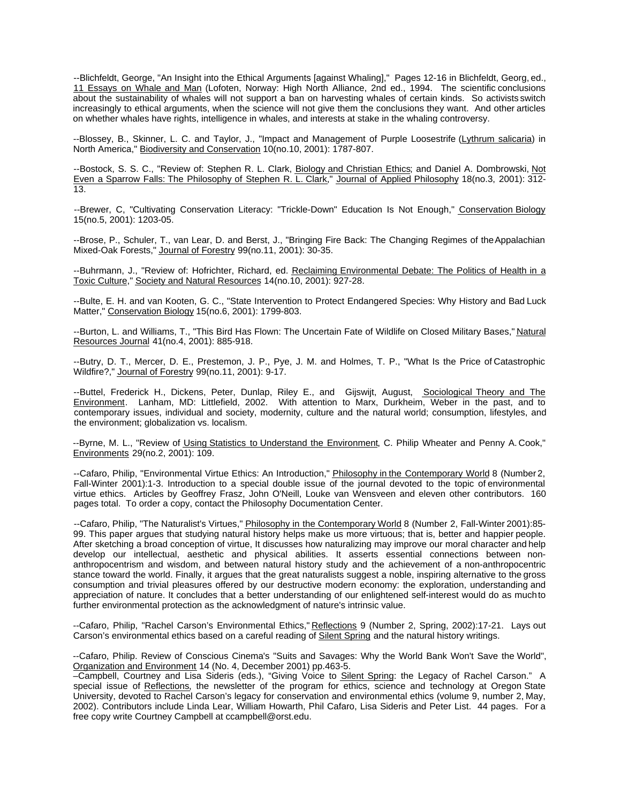--Blichfeldt, George, "An Insight into the Ethical Arguments [against Whaling]," Pages 12-16 in Blichfeldt, Georg, ed., 11 Essays on Whale and Man (Lofoten, Norway: High North Alliance, 2nd ed., 1994. The scientific conclusions about the sustainability of whales will not support a ban on harvesting whales of certain kinds. So activists switch increasingly to ethical arguments, when the science will not give them the conclusions they want. And other articles on whether whales have rights, intelligence in whales, and interests at stake in the whaling controversy.

--Blossey, B., Skinner, L. C. and Taylor, J., "Impact and Management of Purple Loosestrife (Lythrum salicaria) in North America," Biodiversity and Conservation 10(no.10, 2001): 1787-807.

--Bostock, S. S. C., "Review of: Stephen R. L. Clark, Biology and Christian Ethics; and Daniel A. Dombrowski, Not Even a Sparrow Falls: The Philosophy of Stephen R. L. Clark," Journal of Applied Philosophy 18(no.3, 2001): 312- 13.

--Brewer, C, "Cultivating Conservation Literacy: "Trickle-Down" Education Is Not Enough," Conservation Biology 15(no.5, 2001): 1203-05.

--Brose, P., Schuler, T., van Lear, D. and Berst, J., "Bringing Fire Back: The Changing Regimes of the Appalachian Mixed-Oak Forests," Journal of Forestry 99(no.11, 2001): 30-35.

--Buhrmann, J., "Review of: Hofrichter, Richard, ed. Reclaiming Environmental Debate: The Politics of Health in a Toxic Culture," Society and Natural Resources 14(no.10, 2001): 927-28.

--Bulte, E. H. and van Kooten, G. C., "State Intervention to Protect Endangered Species: Why History and Bad Luck Matter," Conservation Biology 15(no.6, 2001): 1799-803.

--Burton, L. and Williams, T., "This Bird Has Flown: The Uncertain Fate of Wildlife on Closed Military Bases," Natural Resources Journal 41(no.4, 2001): 885-918.

--Butry, D. T., Mercer, D. E., Prestemon, J. P., Pye, J. M. and Holmes, T. P., "What Is the Price of Catastrophic Wildfire?," Journal of Forestry 99(no.11, 2001): 9-17.

--Buttel, Frederick H., Dickens, Peter, Dunlap, Riley E., and Gijswijt, August, Sociological Theory and The Environment. Lanham, MD: Littlefield, 2002. With attention to Marx, Durkheim, Weber in the past, and to contemporary issues, individual and society, modernity, culture and the natural world; consumption, lifestyles, and the environment; globalization vs. localism.

--Byrne, M. L., "Review of Using Statistics to Understand the Environment, C. Philip Wheater and Penny A. Cook," Environments 29(no.2, 2001): 109.

--Cafaro, Philip, "Environmental Virtue Ethics: An Introduction," Philosophy in the Contemporary World 8 (Number 2, Fall-Winter 2001):1-3. Introduction to a special double issue of the journal devoted to the topic of environmental virtue ethics. Articles by Geoffrey Frasz, John O'Neill, Louke van Wensveen and eleven other contributors. 160 pages total. To order a copy, contact the Philosophy Documentation Center.

--Cafaro, Philip, "The Naturalist's Virtues," Philosophy in the Contemporary World 8 (Number 2, Fall-Winter 2001):85- 99. This paper argues that studying natural history helps make us more virtuous; that is, better and happier people. After sketching a broad conception of virtue, It discusses how naturalizing may improve our moral character and help develop our intellectual, aesthetic and physical abilities. It asserts essential connections between nonanthropocentrism and wisdom, and between natural history study and the achievement of a non-anthropocentric stance toward the world. Finally, it argues that the great naturalists suggest a noble, inspiring alternative to the gross consumption and trivial pleasures offered by our destructive modern economy: the exploration, understanding and appreciation of nature. It concludes that a better understanding of our enlightened self-interest would do as much to further environmental protection as the acknowledgment of nature's intrinsic value.

--Cafaro, Philip, "Rachel Carson's Environmental Ethics," Reflections 9 (Number 2, Spring, 2002):17-21. Lays out Carson's environmental ethics based on a careful reading of Silent Spring and the natural history writings.

--Cafaro, Philip. Review of Conscious Cinema's "Suits and Savages: Why the World Bank Won't Save the World", Organization and Environment 14 (No. 4, December 2001) pp.463-5.

–Campbell, Courtney and Lisa Sideris (eds.), "Giving Voice to Silent Spring: the Legacy of Rachel Carson." A special issue of Reflections, the newsletter of the program for ethics, science and technology at Oregon State University, devoted to Rachel Carson's legacy for conservation and environmental ethics (volume 9, number 2, May, 2002). Contributors include Linda Lear, William Howarth, Phil Cafaro, Lisa Sideris and Peter List. 44 pages. For a free copy write Courtney Campbell at ccampbell@orst.edu.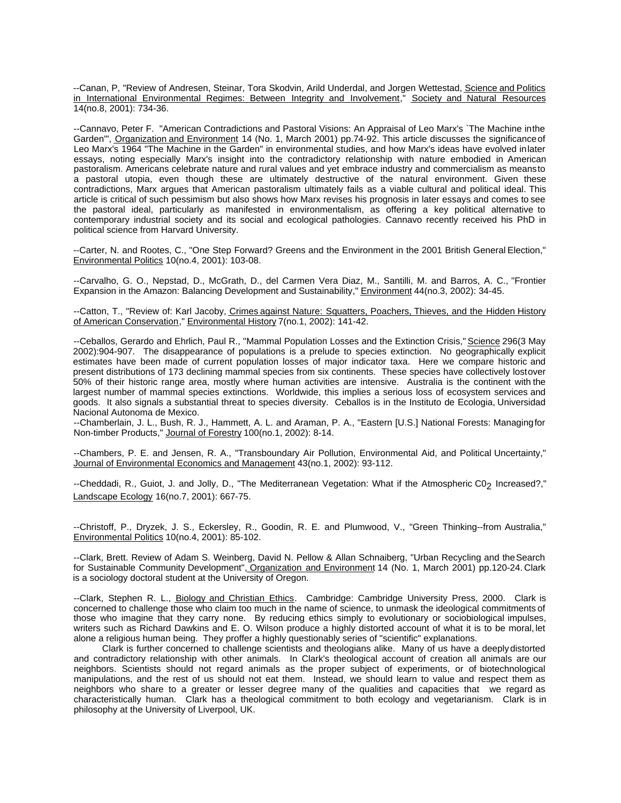--Canan, P, "Review of Andresen, Steinar, Tora Skodvin, Arild Underdal, and Jorgen Wettestad, Science and Politics in International Environmental Regimes: Between Integrity and Involvement," Society and Natural Resources 14(no.8, 2001): 734-36.

--Cannavo, Peter F. "American Contradictions and Pastoral Visions: An Appraisal of Leo Marx's `The Machine in the Garden'", Organization and Environment 14 (No. 1, March 2001) pp.74-92. This article discusses the significance of Leo Marx's 1964 "The Machine in the Garden" in environmental studies, and how Marx's ideas have evolved in later essays, noting especially Marx's insight into the contradictory relationship with nature embodied in American pastoralism. Americans celebrate nature and rural values and yet embrace industry and commercialism as means to a pastoral utopia, even though these are ultimately destructive of the natural environment. Given these contradictions, Marx argues that American pastoralism ultimately fails as a viable cultural and political ideal. This article is critical of such pessimism but also shows how Marx revises his prognosis in later essays and comes to see the pastoral ideal, particularly as manifested in environmentalism, as offering a key political alternative to contemporary industrial society and its social and ecological pathologies. Cannavo recently received his PhD in political science from Harvard University.

--Carter, N. and Rootes, C., "One Step Forward? Greens and the Environment in the 2001 British General Election," Environmental Politics 10(no.4, 2001): 103-08.

--Carvalho, G. O., Nepstad, D., McGrath, D., del Carmen Vera Diaz, M., Santilli, M. and Barros, A. C., "Frontier Expansion in the Amazon: Balancing Development and Sustainability," Environment 44(no.3, 2002): 34-45.

--Catton, T., "Review of: Karl Jacoby, Crimes against Nature: Squatters, Poachers, Thieves, and the Hidden History of American Conservation," Environmental History 7(no.1, 2002): 141-42.

--Ceballos, Gerardo and Ehrlich, Paul R., "Mammal Population Losses and the Extinction Crisis," Science 296(3 May 2002):904-907. The disappearance of populations is a prelude to species extinction. No geographically explicit estimates have been made of current population losses of major indicator taxa. Here we compare historic and present distributions of 173 declining mammal species from six continents. These species have collectively lost over 50% of their historic range area, mostly where human activities are intensive. Australia is the continent with the largest number of mammal species extinctions. Worldwide, this implies a serious loss of ecosystem services and goods. It also signals a substantial threat to species diversity. Ceballos is in the Instituto de Ecologia, Universidad Nacional Autonoma de Mexico.

--Chamberlain, J. L., Bush, R. J., Hammett, A. L. and Araman, P. A., "Eastern [U.S.] National Forests: Managing for Non-timber Products," Journal of Forestry 100(no.1, 2002): 8-14.

--Chambers, P. E. and Jensen, R. A., "Transboundary Air Pollution, Environmental Aid, and Political Uncertainty," Journal of Environmental Economics and Management 43(no.1, 2002): 93-112.

--Cheddadi, R., Guiot, J. and Jolly, D., "The Mediterranean Vegetation: What if the Atmospheric C0<sub>2</sub> Increased?," Landscape Ecology 16(no.7, 2001): 667-75.

--Christoff, P., Dryzek, J. S., Eckersley, R., Goodin, R. E. and Plumwood, V., "Green Thinking--from Australia," Environmental Politics 10(no.4, 2001): 85-102.

--Clark, Brett. Review of Adam S. Weinberg, David N. Pellow & Allan Schnaiberg, "Urban Recycling and the Search for Sustainable Community Development", Organization and Environment 14 (No. 1, March 2001) pp.120-24. Clark is a sociology doctoral student at the University of Oregon.

--Clark, Stephen R. L., Biology and Christian Ethics. Cambridge: Cambridge University Press, 2000. Clark is concerned to challenge those who claim too much in the name of science, to unmask the ideological commitments of those who imagine that they carry none. By reducing ethics simply to evolutionary or sociobiological impulses, writers such as Richard Dawkins and E. O. Wilson produce a highly distorted account of what it is to be moral, let alone a religious human being. They proffer a highly questionably series of "scientific" explanations.

Clark is further concerned to challenge scientists and theologians alike. Many of us have a deeply distorted and contradictory relationship with other animals. In Clark's theological account of creation all animals are our neighbors. Scientists should not regard animals as the proper subject of experiments, or of biotechnological manipulations, and the rest of us should not eat them. Instead, we should learn to value and respect them as neighbors who share to a greater or lesser degree many of the qualities and capacities that we regard as characteristically human. Clark has a theological commitment to both ecology and vegetarianism. Clark is in philosophy at the University of Liverpool, UK.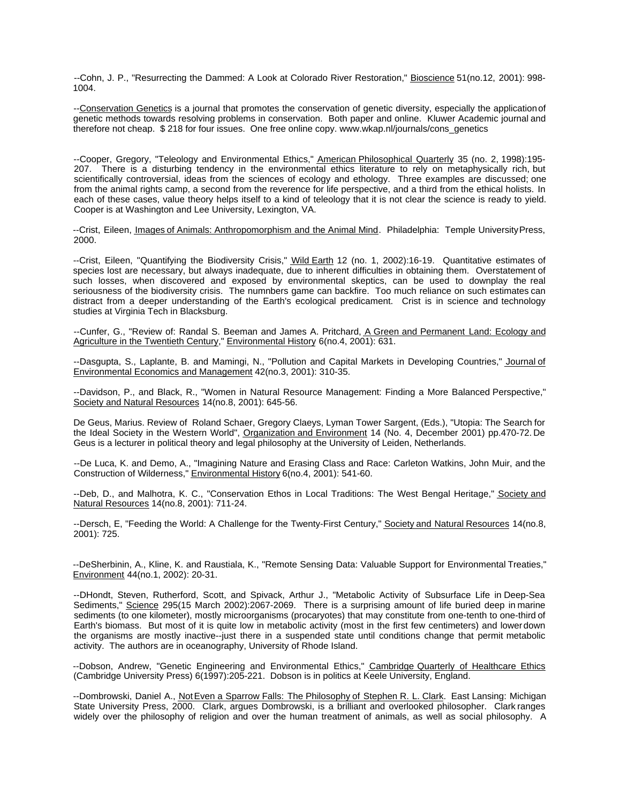--Cohn, J. P., "Resurrecting the Dammed: A Look at Colorado River Restoration," Bioscience 51(no.12, 2001): 998- 1004.

--Conservation Genetics is a journal that promotes the conservation of genetic diversity, especially the application of genetic methods towards resolving problems in conservation. Both paper and online. Kluwer Academic journal and therefore not cheap. \$ 218 for four issues. One free online copy. www.wkap.nl/journals/cons\_genetics

--Cooper, Gregory, "Teleology and Environmental Ethics," American Philosophical Quarterly 35 (no. 2, 1998):195- 207. There is a disturbing tendency in the environmental ethics literature to rely on metaphysically rich, but scientifically controversial, ideas from the sciences of ecology and ethology. Three examples are discussed; one from the animal rights camp, a second from the reverence for life perspective, and a third from the ethical holists. In each of these cases, value theory helps itself to a kind of teleology that it is not clear the science is ready to yield. Cooper is at Washington and Lee University, Lexington, VA.

--Crist, Eileen, Images of Animals: Anthropomorphism and the Animal Mind. Philadelphia: Temple University Press, 2000.

--Crist, Eileen, "Quantifying the Biodiversity Crisis," Wild Earth 12 (no. 1, 2002):16-19. Quantitative estimates of species lost are necessary, but always inadequate, due to inherent difficulties in obtaining them. Overstatement of such losses, when discovered and exposed by environmental skeptics, can be used to downplay the real seriousness of the biodiversity crisis. The numnbers game can backfire. Too much reliance on such estimates can distract from a deeper understanding of the Earth's ecological predicament. Crist is in science and technology studies at Virginia Tech in Blacksburg.

--Cunfer, G., "Review of: Randal S. Beeman and James A. Pritchard, A Green and Permanent Land: Ecology and Agriculture in the Twentieth Century," Environmental History 6(no.4, 2001): 631.

--Dasgupta, S., Laplante, B. and Mamingi, N., "Pollution and Capital Markets in Developing Countries," Journal of Environmental Economics and Management 42(no.3, 2001): 310-35.

--Davidson, P., and Black, R., "Women in Natural Resource Management: Finding a More Balanced Perspective," Society and Natural Resources 14(no.8, 2001): 645-56.

De Geus, Marius. Review of Roland Schaer, Gregory Claeys, Lyman Tower Sargent, (Eds.), "Utopia: The Search for the Ideal Society in the Western World", Organization and Environment 14 (No. 4, December 2001) pp.470-72. De Geus is a lecturer in political theory and legal philosophy at the University of Leiden, Netherlands.

--De Luca, K. and Demo, A., "Imagining Nature and Erasing Class and Race: Carleton Watkins, John Muir, and the Construction of Wilderness," Environmental History 6(no.4, 2001): 541-60.

--Deb, D., and Malhotra, K. C., "Conservation Ethos in Local Traditions: The West Bengal Heritage," Society and Natural Resources 14(no.8, 2001): 711-24.

--Dersch, E, "Feeding the World: A Challenge for the Twenty-First Century," Society and Natural Resources 14(no.8, 2001): 725.

--DeSherbinin, A., Kline, K. and Raustiala, K., "Remote Sensing Data: Valuable Support for Environmental Treaties," Environment 44(no.1, 2002): 20-31.

--DHondt, Steven, Rutherford, Scott, and Spivack, Arthur J., "Metabolic Activity of Subsurface Life in Deep-Sea Sediments," Science 295(15 March 2002):2067-2069. There is a surprising amount of life buried deep in marine sediments (to one kilometer), mostly microorganisms (procaryotes) that may constitute from one-tenth to one-third of Earth's biomass. But most of it is quite low in metabolic activity (most in the first few centimeters) and lower down the organisms are mostly inactive--just there in a suspended state until conditions change that permit metabolic activity. The authors are in oceanography, University of Rhode Island.

--Dobson, Andrew, "Genetic Engineering and Environmental Ethics," Cambridge Quarterly of Healthcare Ethics (Cambridge University Press) 6(1997):205-221. Dobson is in politics at Keele University, England.

--Dombrowski, Daniel A., Not Even a Sparrow Falls: The Philosophy of Stephen R. L. Clark. East Lansing: Michigan State University Press, 2000. Clark, argues Dombrowski, is a brilliant and overlooked philosopher. Clark ranges widely over the philosophy of religion and over the human treatment of animals, as well as social philosophy. A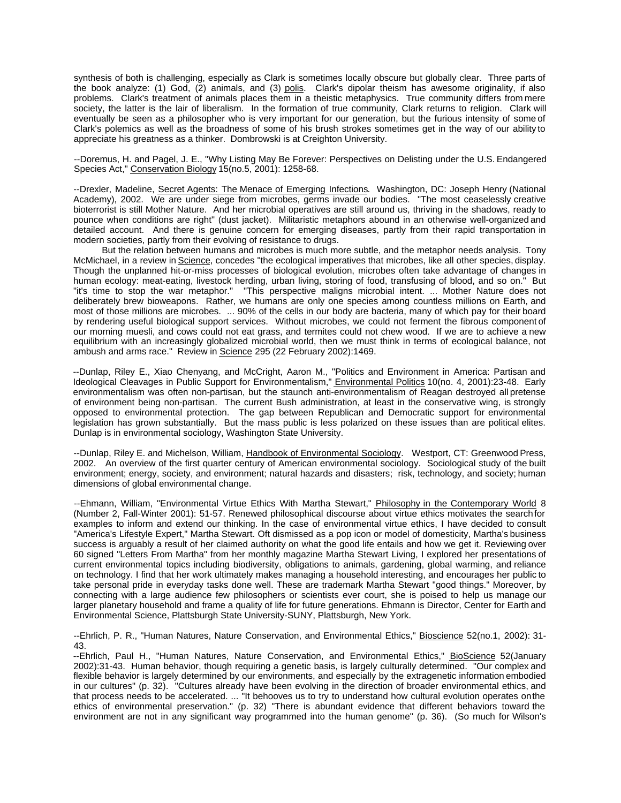synthesis of both is challenging, especially as Clark is sometimes locally obscure but globally clear. Three parts of the book analyze: (1) God, (2) animals, and (3) polis. Clark's dipolar theism has awesome originality, if also problems. Clark's treatment of animals places them in a theistic metaphysics. True community differs from mere society, the latter is the lair of liberalism. In the formation of true community, Clark returns to religion. Clark will eventually be seen as a philosopher who is very important for our generation, but the furious intensity of some of Clark's polemics as well as the broadness of some of his brush strokes sometimes get in the way of our ability to appreciate his greatness as a thinker. Dombrowski is at Creighton University.

--Doremus, H. and Pagel, J. E., "Why Listing May Be Forever: Perspectives on Delisting under the U.S. Endangered Species Act," Conservation Biology 15(no.5, 2001): 1258-68.

--Drexler, Madeline, Secret Agents: The Menace of Emerging Infections. Washington, DC: Joseph Henry (National Academy), 2002. We are under siege from microbes, germs invade our bodies. "The most ceaselessly creative bioterrorist is still Mother Nature. And her microbial operatives are still around us, thriving in the shadows, ready to pounce when conditions are right" (dust jacket). Militaristic metaphors abound in an otherwise well-organized and detailed account. And there is genuine concern for emerging diseases, partly from their rapid transportation in modern societies, partly from their evolving of resistance to drugs.

But the relation between humans and microbes is much more subtle, and the metaphor needs analysis. Tony McMichael, in a review in Science, concedes "the ecological imperatives that microbes, like all other species, display. Though the unplanned hit-or-miss processes of biological evolution, microbes often take advantage of changes in human ecology: meat-eating, livestock herding, urban living, storing of food, transfusing of blood, and so on." But "it's time to stop the war metaphor." "This perspective maligns microbial intent. ... Mother Nature does not deliberately brew bioweapons. Rather, we humans are only one species among countless millions on Earth, and most of those millions are microbes. ... 90% of the cells in our body are bacteria, many of which pay for their board by rendering useful biological support services. Without microbes, we could not ferment the fibrous component of our morning muesli, and cows could not eat grass, and termites could not chew wood. If we are to achieve a new equilibrium with an increasingly globalized microbial world, then we must think in terms of ecological balance, not ambush and arms race." Review in Science 295 (22 February 2002):1469.

--Dunlap, Riley E., Xiao Chenyang, and McCright, Aaron M., "Politics and Environment in America: Partisan and Ideological Cleavages in Public Support for Environmentalism," Environmental Politics 10(no. 4, 2001):23-48. Early environmentalism was often non-partisan, but the staunch anti-environmentalism of Reagan destroyed all pretense of environment being non-partisan. The current Bush administration, at least in the conservative wing, is strongly opposed to environmental protection. The gap between Republican and Democratic support for environmental legislation has grown substantially. But the mass public is less polarized on these issues than are political elites. Dunlap is in environmental sociology, Washington State University.

--Dunlap, Riley E. and Michelson, William, Handbook of Environmental Sociology. Westport, CT: Greenwood Press, 2002. An overview of the first quarter century of American environmental sociology. Sociological study of the built environment; energy, society, and environment; natural hazards and disasters; risk, technology, and society; human dimensions of global environmental change.

--Ehmann, William, "Environmental Virtue Ethics With Martha Stewart," Philosophy in the Contemporary World 8 (Number 2, Fall-Winter 2001): 51-57. Renewed philosophical discourse about virtue ethics motivates the search for examples to inform and extend our thinking. In the case of environmental virtue ethics, I have decided to consult "America's Lifestyle Expert," Martha Stewart. Oft dismissed as a pop icon or model of domesticity, Martha's business success is arguably a result of her claimed authority on what the good life entails and how we get it. Reviewing over 60 signed "Letters From Martha" from her monthly magazine Martha Stewart Living, I explored her presentations of current environmental topics including biodiversity, obligations to animals, gardening, global warming, and reliance on technology. I find that her work ultimately makes managing a household interesting, and encourages her public to take personal pride in everyday tasks done well. These are trademark Martha Stewart "good things." Moreover, by connecting with a large audience few philosophers or scientists ever court, she is poised to help us manage our larger planetary household and frame a quality of life for future generations. Ehmann is Director, Center for Earth and Environmental Science, Plattsburgh State University-SUNY, Plattsburgh, New York.

--Ehrlich, P. R., "Human Natures, Nature Conservation, and Environmental Ethics," Bioscience 52(no.1, 2002): 31-43.

--Ehrlich, Paul H., "Human Natures, Nature Conservation, and Environmental Ethics," BioScience 52(January 2002):31-43. Human behavior, though requiring a genetic basis, is largely culturally determined. "Our complex and flexible behavior is largely determined by our environments, and especially by the extragenetic information embodied in our cultures" (p. 32). "Cultures already have been evolving in the direction of broader environmental ethics, and that process needs to be accelerated. ... "It behooves us to try to understand how cultural evolution operates on the ethics of environmental preservation." (p. 32) "There is abundant evidence that different behaviors toward the environment are not in any significant way programmed into the human genome" (p. 36). (So much for Wilson's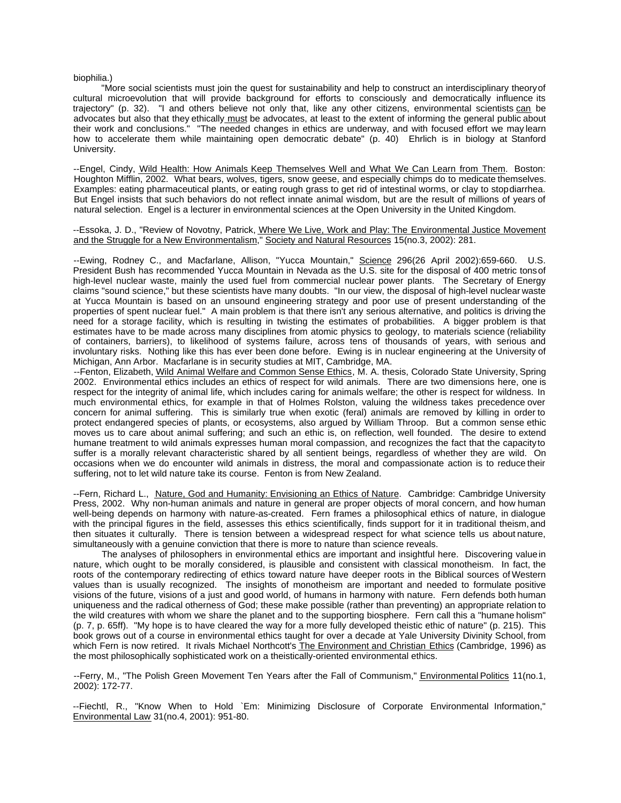#### biophilia.)

"More social scientists must join the quest for sustainability and help to construct an interdisciplinary theory of cultural microevolution that will provide background for efforts to consciously and democratically influence its trajectory" (p. 32). "I and others believe not only that, like any other citizens, environmental scientists can be advocates but also that they ethically must be advocates, at least to the extent of informing the general public about their work and conclusions." "The needed changes in ethics are underway, and with focused effort we may learn how to accelerate them while maintaining open democratic debate" (p. 40) Ehrlich is in biology at Stanford University.

--Engel, Cindy, Wild Health: How Animals Keep Themselves Well and What We Can Learn from Them. Boston: Houghton Mifflin, 2002. What bears, wolves, tigers, snow geese, and especially chimps do to medicate themselves. Examples: eating pharmaceutical plants, or eating rough grass to get rid of intestinal worms, or clay to stop diarrhea. But Engel insists that such behaviors do not reflect innate animal wisdom, but are the result of millions of years of natural selection. Engel is a lecturer in environmental sciences at the Open University in the United Kingdom.

--Essoka, J. D., "Review of Novotny, Patrick, Where We Live, Work and Play: The Environmental Justice Movement and the Struggle for a New Environmentalism," Society and Natural Resources 15(no.3, 2002): 281.

--Ewing, Rodney C., and Macfarlane, Allison, "Yucca Mountain," Science 296(26 April 2002):659-660. U.S. President Bush has recommended Yucca Mountain in Nevada as the U.S. site for the disposal of 400 metric tons of high-level nuclear waste, mainly the used fuel from commercial nuclear power plants. The Secretary of Energy claims "sound science," but these scientists have many doubts. "In our view, the disposal of high-level nuclear waste at Yucca Mountain is based on an unsound engineering strategy and poor use of present understanding of the properties of spent nuclear fuel." A main problem is that there isn't any serious alternative, and politics is driving the need for a storage facility, which is resulting in twisting the estimates of probabilities. A bigger problem is that estimates have to be made across many disciplines from atomic physics to geology, to materials science (reliability of containers, barriers), to likelihood of systems failure, across tens of thousands of years, with serious and involuntary risks. Nothing like this has ever been done before. Ewing is in nuclear engineering at the University of Michigan, Ann Arbor. Macfarlane is in security studies at MIT, Cambridge, MA.

--Fenton, Elizabeth, Wild Animal Welfare and Common Sense Ethics, M. A. thesis, Colorado State University, Spring 2002. Environmental ethics includes an ethics of respect for wild animals. There are two dimensions here, one is respect for the integrity of animal life, which includes caring for animals welfare; the other is respect for wildness. In much environmental ethics, for example in that of Holmes Rolston, valuing the wildness takes precedence over concern for animal suffering. This is similarly true when exotic (feral) animals are removed by killing in order to protect endangered species of plants, or ecosystems, also argued by William Throop. But a common sense ethic moves us to care about animal suffering; and such an ethic is, on reflection, well founded. The desire to extend humane treatment to wild animals expresses human moral compassion, and recognizes the fact that the capacity to suffer is a morally relevant characteristic shared by all sentient beings, regardless of whether they are wild. On occasions when we do encounter wild animals in distress, the moral and compassionate action is to reduce their suffering, not to let wild nature take its course. Fenton is from New Zealand.

--Fern, Richard L., Nature, God and Humanity: Envisioning an Ethics of Nature. Cambridge: Cambridge University Press, 2002. Why non-human animals and nature in general are proper objects of moral concern, and how human well-being depends on harmony with nature-as-created. Fern frames a philosophical ethics of nature, in dialogue with the principal figures in the field, assesses this ethics scientifically, finds support for it in traditional theism, and then situates it culturally. There is tension between a widespread respect for what science tells us about nature, simultaneously with a genuine conviction that there is more to nature than science reveals.

The analyses of philosophers in environmental ethics are important and insightful here. Discovering value in nature, which ought to be morally considered, is plausible and consistent with classical monotheism. In fact, the roots of the contemporary redirecting of ethics toward nature have deeper roots in the Biblical sources of Western values than is usually recognized. The insights of monotheism are important and needed to formulate positive visions of the future, visions of a just and good world, of humans in harmony with nature. Fern defends both human uniqueness and the radical otherness of God; these make possible (rather than preventing) an appropriate relation to the wild creatures with whom we share the planet and to the supporting biosphere. Fern call this a "humane holism" (p. 7, p. 65ff). "My hope is to have cleared the way for a more fully developed theistic ethic of nature" (p. 215). This book grows out of a course in environmental ethics taught for over a decade at Yale University Divinity School, from which Fern is now retired. It rivals Michael Northcott's The Environment and Christian Ethics (Cambridge, 1996) as the most philosophically sophisticated work on a theistically-oriented environmental ethics.

--Ferry, M., "The Polish Green Movement Ten Years after the Fall of Communism," Environmental Politics 11(no.1, 2002): 172-77.

--Fiechtl, R., "Know When to Hold `Em: Minimizing Disclosure of Corporate Environmental Information," Environmental Law 31(no.4, 2001): 951-80.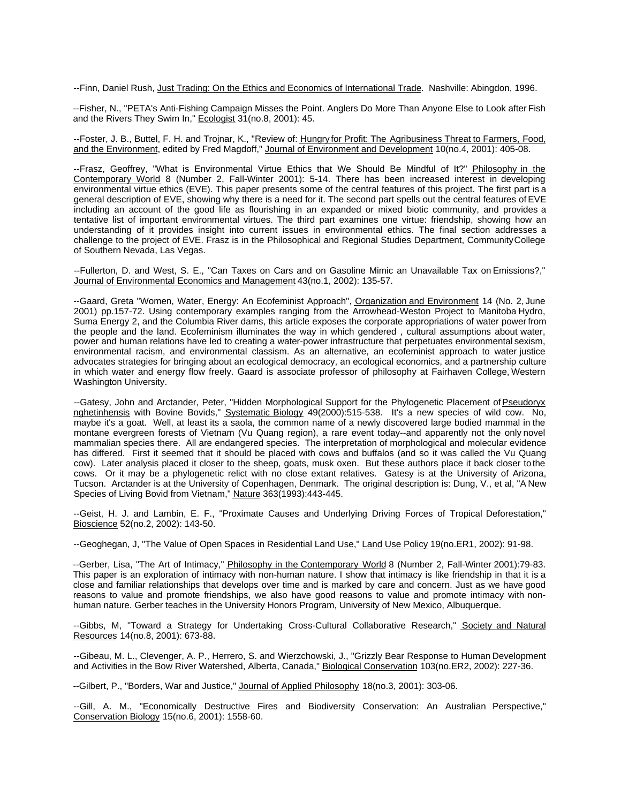--Finn, Daniel Rush, Just Trading: On the Ethics and Economics of International Trade. Nashville: Abingdon, 1996.

--Fisher, N., "PETA's Anti-Fishing Campaign Misses the Point. Anglers Do More Than Anyone Else to Look after Fish and the Rivers They Swim In," Ecologist 31(no.8, 2001): 45.

--Foster, J. B., Buttel, F. H. and Trojnar, K., "Review of: Hungry for Profit: The Agribusiness Threat to Farmers, Food, and the Environment, edited by Fred Magdoff," Journal of Environment and Development 10(no.4, 2001): 405-08.

--Frasz, Geoffrey, "What is Environmental Virtue Ethics that We Should Be Mindful of It?" Philosophy in the Contemporary World 8 (Number 2, Fall-Winter 2001): 5-14. There has been increased interest in developing environmental virtue ethics (EVE). This paper presents some of the central features of this project. The first part is a general description of EVE, showing why there is a need for it. The second part spells out the central features of EVE including an account of the good life as flourishing in an expanded or mixed biotic community, and provides a tentative list of important environmental virtues. The third part examines one virtue: friendship, showing how an understanding of it provides insight into current issues in environmental ethics. The final section addresses a challenge to the project of EVE. Frasz is in the Philosophical and Regional Studies Department, Community College of Southern Nevada, Las Vegas.

--Fullerton, D. and West, S. E., "Can Taxes on Cars and on Gasoline Mimic an Unavailable Tax on Emissions?," Journal of Environmental Economics and Management 43(no.1, 2002): 135-57.

--Gaard, Greta "Women, Water, Energy: An Ecofeminist Approach", Organization and Environment 14 (No. 2, June 2001) pp.157-72. Using contemporary examples ranging from the Arrowhead-Weston Project to Manitoba Hydro, Suma Energy 2, and the Columbia River dams, this article exposes the corporate appropriations of water power from the people and the land. Ecofeminism illuminates the way in which gendered , cultural assumptions about water, power and human relations have led to creating a water-power infrastructure that perpetuates environmental sexism, environmental racism, and environmental classism. As an alternative, an ecofeminist approach to water justice advocates strategies for bringing about an ecological democracy, an ecological economics, and a partnership culture in which water and energy flow freely. Gaard is associate professor of philosophy at Fairhaven College, Western Washington University.

--Gatesy, John and Arctander, Peter, "Hidden Morphological Support for the Phylogenetic Placement of Pseudoryx nghetinhensis with Bovine Bovids," Systematic Biology 49(2000):515-538. It's a new species of wild cow. No, maybe it's a goat. Well, at least its a saola, the common name of a newly discovered large bodied mammal in the montane evergreen forests of Vietnam (Vu Quang region), a rare event today--and apparently not the only novel mammalian species there. All are endangered species. The interpretation of morphological and molecular evidence has differed. First it seemed that it should be placed with cows and buffalos (and so it was called the Vu Quang cow). Later analysis placed it closer to the sheep, goats, musk oxen. But these authors place it back closer to the cows. Or it may be a phylogenetic relict with no close extant relatives. Gatesy is at the University of Arizona, Tucson. Arctander is at the University of Copenhagen, Denmark. The original description is: Dung, V., et al, "A New Species of Living Bovid from Vietnam," Nature 363(1993):443-445.

--Geist, H. J. and Lambin, E. F., "Proximate Causes and Underlying Driving Forces of Tropical Deforestation," Bioscience 52(no.2, 2002): 143-50.

--Geoghegan, J, "The Value of Open Spaces in Residential Land Use," Land Use Policy 19(no.ER1, 2002): 91-98.

--Gerber, Lisa, "The Art of Intimacy," Philosophy in the Contemporary World 8 (Number 2, Fall-Winter 2001):79-83. This paper is an exploration of intimacy with non-human nature. I show that intimacy is like friendship in that it is a close and familiar relationships that develops over time and is marked by care and concern. Just as we have good reasons to value and promote friendships, we also have good reasons to value and promote intimacy with nonhuman nature. Gerber teaches in the University Honors Program, University of New Mexico, Albuquerque.

--Gibbs, M, "Toward a Strategy for Undertaking Cross-Cultural Collaborative Research," Society and Natural Resources 14(no.8, 2001): 673-88.

--Gibeau, M. L., Clevenger, A. P., Herrero, S. and Wierzchowski, J., "Grizzly Bear Response to Human Development and Activities in the Bow River Watershed, Alberta, Canada," Biological Conservation 103(no.ER2, 2002): 227-36.

--Gilbert, P., "Borders, War and Justice," Journal of Applied Philosophy 18(no.3, 2001): 303-06.

--Gill, A. M., "Economically Destructive Fires and Biodiversity Conservation: An Australian Perspective," Conservation Biology 15(no.6, 2001): 1558-60.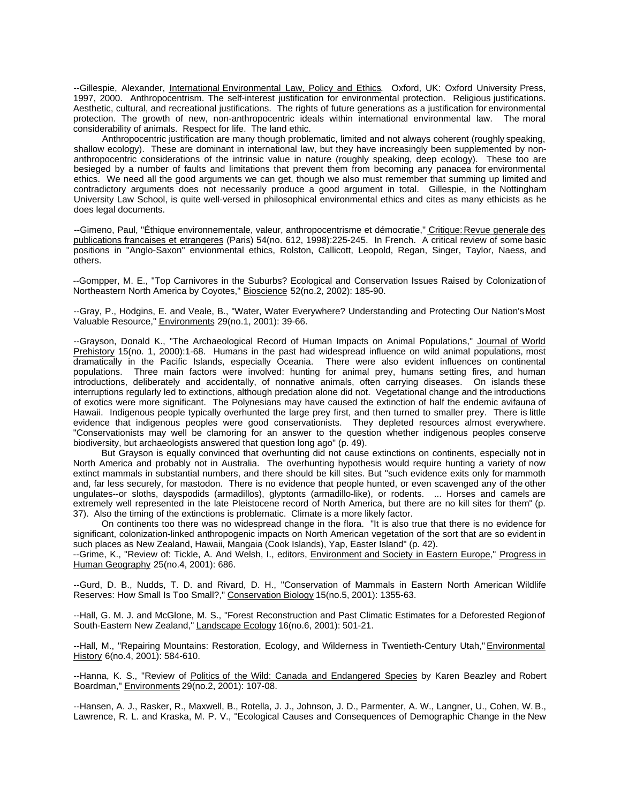--Gillespie, Alexander, International Environmental Law, Policy and Ethics. Oxford, UK: Oxford University Press, 1997, 2000. Anthropocentrism. The self-interest justification for environmental protection. Religious justifications. Aesthetic, cultural, and recreational justifications. The rights of future generations as a justification for environmental protection. The growth of new, non-anthropocentric ideals within international environmental law. The moral considerability of animals. Respect for life. The land ethic.

Anthropocentric justification are many though problematic, limited and not always coherent (roughly speaking, shallow ecology). These are dominant in international law, but they have increasingly been supplemented by nonanthropocentric considerations of the intrinsic value in nature (roughly speaking, deep ecology). These too are besieged by a number of faults and limitations that prevent them from becoming any panacea for environmental ethics. We need all the good arguments we can get, though we also must remember that summing up limited and contradictory arguments does not necessarily produce a good argument in total. Gillespie, in the Nottingham University Law School, is quite well-versed in philosophical environmental ethics and cites as many ethicists as he does legal documents.

--Gimeno, Paul, "Éthique environnementale, valeur, anthropocentrisme et démocratie," Critique: Revue generale des publications francaises et etrangeres (Paris) 54(no. 612, 1998):225-245. In French. A critical review of some basic positions in "Anglo-Saxon" envionmental ethics, Rolston, Callicott, Leopold, Regan, Singer, Taylor, Naess, and others.

--Gompper, M. E., "Top Carnivores in the Suburbs? Ecological and Conservation Issues Raised by Colonization of Northeastern North America by Coyotes," Bioscience 52(no.2, 2002): 185-90.

--Gray, P., Hodgins, E. and Veale, B., "Water, Water Everywhere? Understanding and Protecting Our Nation's Most Valuable Resource," Environments 29(no.1, 2001): 39-66.

--Grayson, Donald K., "The Archaeological Record of Human Impacts on Animal Populations," Journal of World Prehistory 15(no. 1, 2000):1-68. Humans in the past had widespread influence on wild animal populations, most dramatically in the Pacific Islands, especially Oceania. There were also evident influences on continental populations. Three main factors were involved: hunting for animal prey, humans setting fires, and human introductions, deliberately and accidentally, of nonnative animals, often carrying diseases. On islands these interruptions regularly led to extinctions, although predation alone did not. Vegetational change and the introductions of exotics were more significant. The Polynesians may have caused the extinction of half the endemic avifauna of Hawaii. Indigenous people typically overhunted the large prey first, and then turned to smaller prey. There is little evidence that indigenous peoples were good conservationists. They depleted resources almost everywhere. "Conservationists may well be clamoring for an answer to the question whether indigenous peoples conserve biodiversity, but archaeologists answered that question long ago" (p. 49).

But Grayson is equally convinced that overhunting did not cause extinctions on continents, especially not in North America and probably not in Australia. The overhunting hypothesis would require hunting a variety of now extinct mammals in substantial numbers, and there should be kill sites. But "such evidence exits only for mammoth and, far less securely, for mastodon. There is no evidence that people hunted, or even scavenged any of the other ungulates--or sloths, dayspodids (armadillos), glyptonts (armadillo-like), or rodents. ... Horses and camels are extremely well represented in the late Pleistocene record of North America, but there are no kill sites for them" (p. 37). Also the timing of the extinctions is problematic. Climate is a more likely factor.

On continents too there was no widespread change in the flora. "It is also true that there is no evidence for significant, colonization-linked anthropogenic impacts on North American vegetation of the sort that are so evident in such places as New Zealand, Hawaii, Mangaia (Cook Islands), Yap, Easter Island" (p. 42).

--Grime, K., "Review of: Tickle, A. And Welsh, I., editors, Environment and Society in Eastern Europe," Progress in Human Geography 25(no.4, 2001): 686.

--Gurd, D. B., Nudds, T. D. and Rivard, D. H., "Conservation of Mammals in Eastern North American Wildlife Reserves: How Small Is Too Small?," Conservation Biology 15(no.5, 2001): 1355-63.

--Hall, G. M. J. and McGlone, M. S., "Forest Reconstruction and Past Climatic Estimates for a Deforested Region of South-Eastern New Zealand," Landscape Ecology 16(no.6, 2001): 501-21.

--Hall, M., "Repairing Mountains: Restoration, Ecology, and Wilderness in Twentieth-Century Utah," Environmental History 6(no.4, 2001): 584-610.

--Hanna, K. S., "Review of Politics of the Wild: Canada and Endangered Species by Karen Beazley and Robert Boardman," Environments 29(no.2, 2001): 107-08.

--Hansen, A. J., Rasker, R., Maxwell, B., Rotella, J. J., Johnson, J. D., Parmenter, A. W., Langner, U., Cohen, W. B., Lawrence, R. L. and Kraska, M. P. V., "Ecological Causes and Consequences of Demographic Change in the New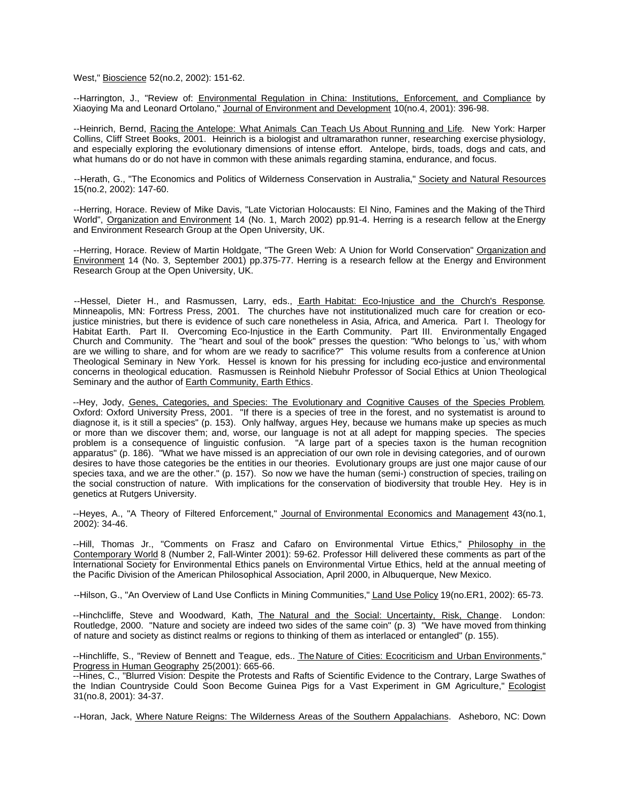West," Bioscience 52(no.2, 2002): 151-62.

--Harrington, J., "Review of: Environmental Regulation in China: Institutions, Enforcement, and Compliance by Xiaoying Ma and Leonard Ortolano," Journal of Environment and Development 10(no.4, 2001): 396-98.

--Heinrich, Bernd, Racing the Antelope: What Animals Can Teach Us About Running and Life. New York: Harper Collins, Cliff Street Books, 2001. Heinrich is a biologist and ultramarathon runner, researching exercise physiology, and especially exploring the evolutionary dimensions of intense effort. Antelope, birds, toads, dogs and cats, and what humans do or do not have in common with these animals regarding stamina, endurance, and focus.

--Herath, G., "The Economics and Politics of Wilderness Conservation in Australia," Society and Natural Resources 15(no.2, 2002): 147-60.

--Herring, Horace. Review of Mike Davis, "Late Victorian Holocausts: El Nino, Famines and the Making of the Third World", Organization and Environment 14 (No. 1, March 2002) pp.91-4. Herring is a research fellow at the Energy and Environment Research Group at the Open University, UK.

--Herring, Horace. Review of Martin Holdgate, "The Green Web: A Union for World Conservation" Organization and Environment 14 (No. 3, September 2001) pp.375-77. Herring is a research fellow at the Energy and Environment Research Group at the Open University, UK.

--Hessel, Dieter H., and Rasmussen, Larry, eds., Earth Habitat: Eco-Injustice and the Church's Response. Minneapolis, MN: Fortress Press, 2001. The churches have not institutionalized much care for creation or ecojustice ministries, but there is evidence of such care nonetheless in Asia, Africa, and America. Part I. Theology for Habitat Earth. Part II. Overcoming Eco-Injustice in the Earth Community. Part III. Environmentally Engaged Church and Community. The "heart and soul of the book" presses the question: "Who belongs to `us,' with whom are we willing to share, and for whom are we ready to sacrifice?" This volume results from a conference at Union Theological Seminary in New York. Hessel is known for his pressing for including eco-justice and environmental concerns in theological education. Rasmussen is Reinhold Niebuhr Professor of Social Ethics at Union Theological Seminary and the author of Earth Community, Earth Ethics.

--Hey, Jody, Genes, Categories, and Species: The Evolutionary and Cognitive Causes of the Species Problem. Oxford: Oxford University Press, 2001. "If there is a species of tree in the forest, and no systematist is around to diagnose it, is it still a species" (p. 153). Only halfway, argues Hey, because we humans make up species as much or more than we discover them; and, worse, our language is not at all adept for mapping species. The species problem is a consequence of linguistic confusion. "A large part of a species taxon is the human recognition apparatus" (p. 186). "What we have missed is an appreciation of our own role in devising categories, and of our own desires to have those categories be the entities in our theories. Evolutionary groups are just one major cause of our species taxa, and we are the other." (p. 157). So now we have the human (semi-) construction of species, trailing on the social construction of nature. With implications for the conservation of biodiversity that trouble Hey. Hey is in genetics at Rutgers University.

--Heyes, A., "A Theory of Filtered Enforcement," Journal of Environmental Economics and Management 43(no.1, 2002): 34-46.

--Hill, Thomas Jr., "Comments on Frasz and Cafaro on Environmental Virtue Ethics," Philosophy in the Contemporary World 8 (Number 2, Fall-Winter 2001): 59-62. Professor Hill delivered these comments as part of the International Society for Environmental Ethics panels on Environmental Virtue Ethics, held at the annual meeting of the Pacific Division of the American Philosophical Association, April 2000, in Albuquerque, New Mexico.

--Hilson, G., "An Overview of Land Use Conflicts in Mining Communities," Land Use Policy 19(no.ER1, 2002): 65-73.

--Hinchcliffe, Steve and Woodward, Kath, The Natural and the Social: Uncertainty, Risk, Change. London: Routledge, 2000. "Nature and society are indeed two sides of the same coin" (p. 3) "We have moved from thinking of nature and society as distinct realms or regions to thinking of them as interlaced or entangled" (p. 155).

--Hinchliffe, S., "Review of Bennett and Teague, eds.. The Nature of Cities: Ecocriticism and Urban Environments," Progress in Human Geography 25(2001): 665-66.

--Hines, C., "Blurred Vision: Despite the Protests and Rafts of Scientific Evidence to the Contrary, Large Swathes of the Indian Countryside Could Soon Become Guinea Pigs for a Vast Experiment in GM Agriculture," Ecologist 31(no.8, 2001): 34-37.

--Horan, Jack, Where Nature Reigns: The Wilderness Areas of the Southern Appalachians. Asheboro, NC: Down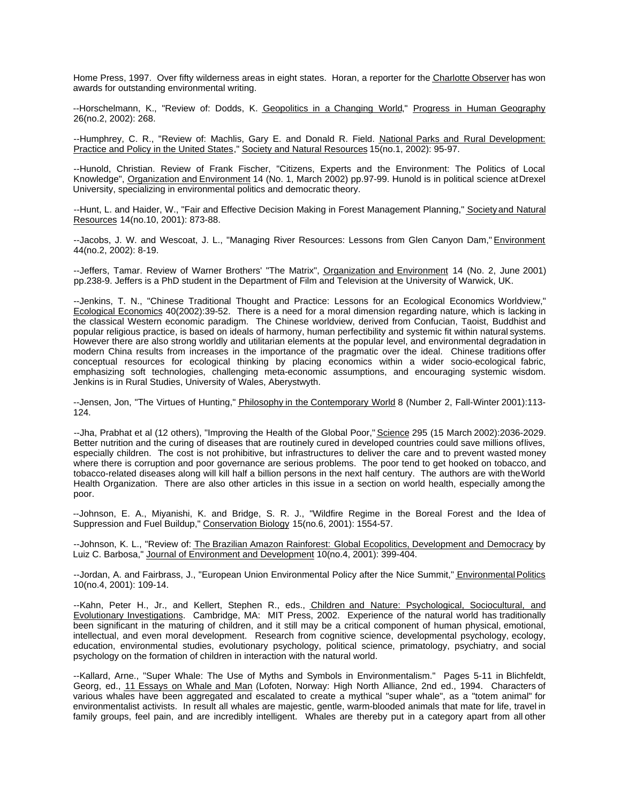Home Press, 1997. Over fifty wilderness areas in eight states. Horan, a reporter for the Charlotte Observer has won awards for outstanding environmental writing.

--Horschelmann, K., "Review of: Dodds, K. Geopolitics in a Changing World," Progress in Human Geography 26(no.2, 2002): 268.

--Humphrey, C. R., "Review of: Machlis, Gary E. and Donald R. Field. National Parks and Rural Development: Practice and Policy in the United States," Society and Natural Resources 15(no.1, 2002): 95-97.

--Hunold, Christian. Review of Frank Fischer, "Citizens, Experts and the Environment: The Politics of Local Knowledge", Organization and Environment 14 (No. 1, March 2002) pp.97-99. Hunold is in political science at Drexel University, specializing in environmental politics and democratic theory.

--Hunt, L. and Haider, W., "Fair and Effective Decision Making in Forest Management Planning," Society and Natural Resources 14(no.10, 2001): 873-88.

--Jacobs, J. W. and Wescoat, J. L., "Managing River Resources: Lessons from Glen Canyon Dam," Environment 44(no.2, 2002): 8-19.

--Jeffers, Tamar. Review of Warner Brothers' "The Matrix", Organization and Environment 14 (No. 2, June 2001) pp.238-9. Jeffers is a PhD student in the Department of Film and Television at the University of Warwick, UK.

--Jenkins, T. N., "Chinese Traditional Thought and Practice: Lessons for an Ecological Economics Worldview," Ecological Economics 40(2002):39-52. There is a need for a moral dimension regarding nature, which is lacking in the classical Western economic paradigm. The Chinese worldview, derived from Confucian, Taoist, Buddhist and popular religious practice, is based on ideals of harmony, human perfectibility and systemic fit within natural systems. However there are also strong worldly and utilitarian elements at the popular level, and environmental degradation in modern China results from increases in the importance of the pragmatic over the ideal. Chinese traditions offer conceptual resources for ecological thinking by placing economics within a wider socio-ecological fabric, emphasizing soft technologies, challenging meta-economic assumptions, and encouraging systemic wisdom. Jenkins is in Rural Studies, University of Wales, Aberystwyth.

--Jensen, Jon, "The Virtues of Hunting," Philosophy in the Contemporary World 8 (Number 2, Fall-Winter 2001):113-124.

--Jha, Prabhat et al (12 others), "Improving the Health of the Global Poor," Science 295 (15 March 2002):2036-2029. Better nutrition and the curing of diseases that are routinely cured in developed countries could save millions of lives, especially children. The cost is not prohibitive, but infrastructures to deliver the care and to prevent wasted money where there is corruption and poor governance are serious problems. The poor tend to get hooked on tobacco, and tobacco-related diseases along will kill half a billion persons in the next half century. The authors are with the World Health Organization. There are also other articles in this issue in a section on world health, especially among the poor.

--Johnson, E. A., Miyanishi, K. and Bridge, S. R. J., "Wildfire Regime in the Boreal Forest and the Idea of Suppression and Fuel Buildup," Conservation Biology 15(no.6, 2001): 1554-57.

--Johnson, K. L., "Review of: The Brazilian Amazon Rainforest: Global Ecopolitics, Development and Democracy by Luiz C. Barbosa," Journal of Environment and Development 10(no.4, 2001): 399-404.

--Jordan, A. and Fairbrass, J., "European Union Environmental Policy after the Nice Summit," Environmental Politics 10(no.4, 2001): 109-14.

--Kahn, Peter H., Jr., and Kellert, Stephen R., eds., Children and Nature: Psychological, Sociocultural, and Evolutionary Investigations. Cambridge, MA: MIT Press, 2002. Experience of the natural world has traditionally been significant in the maturing of children, and it still may be a critical component of human physical, emotional, intellectual, and even moral development. Research from cognitive science, developmental psychology, ecology, education, environmental studies, evolutionary psychology, political science, primatology, psychiatry, and social psychology on the formation of children in interaction with the natural world.

--Kallard, Arne., "Super Whale: The Use of Myths and Symbols in Environmentalism." Pages 5-11 in Blichfeldt, Georg, ed., 11 Essays on Whale and Man (Lofoten, Norway: High North Alliance, 2nd ed., 1994. Characters of various whales have been aggregated and escalated to create a mythical "super whale", as a "totem animal" for environmentalist activists. In result all whales are majestic, gentle, warm-blooded animals that mate for life, travel in family groups, feel pain, and are incredibly intelligent. Whales are thereby put in a category apart from all other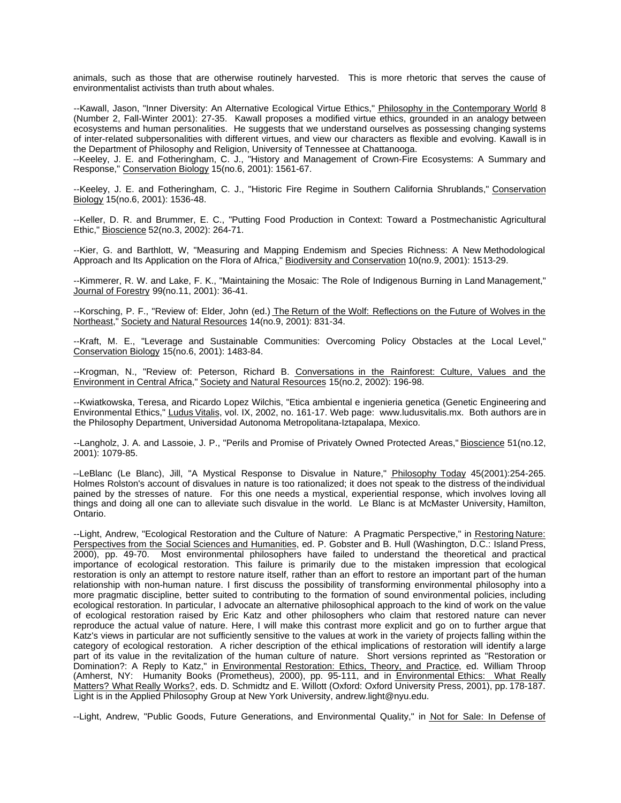animals, such as those that are otherwise routinely harvested. This is more rhetoric that serves the cause of environmentalist activists than truth about whales.

--Kawall, Jason, "Inner Diversity: An Alternative Ecological Virtue Ethics," Philosophy in the Contemporary World 8 (Number 2, Fall-Winter 2001): 27-35. Kawall proposes a modified virtue ethics, grounded in an analogy between ecosystems and human personalities. He suggests that we understand ourselves as possessing changing systems of inter-related subpersonalities with different virtues, and view our characters as flexible and evolving. Kawall is in the Department of Philosophy and Religion, University of Tennessee at Chattanooga.

--Keeley, J. E. and Fotheringham, C. J., "History and Management of Crown-Fire Ecosystems: A Summary and Response," Conservation Biology 15(no.6, 2001): 1561-67.

--Keeley, J. E. and Fotheringham, C. J., "Historic Fire Regime in Southern California Shrublands," Conservation Biology 15(no.6, 2001): 1536-48.

--Keller, D. R. and Brummer, E. C., "Putting Food Production in Context: Toward a Postmechanistic Agricultural Ethic," Bioscience 52(no.3, 2002): 264-71.

--Kier, G. and Barthlott, W, "Measuring and Mapping Endemism and Species Richness: A New Methodological Approach and Its Application on the Flora of Africa," Biodiversity and Conservation 10(no.9, 2001): 1513-29.

--Kimmerer, R. W. and Lake, F. K., "Maintaining the Mosaic: The Role of Indigenous Burning in Land Management," Journal of Forestry 99(no.11, 2001): 36-41.

--Korsching, P. F., "Review of: Elder, John (ed.) The Return of the Wolf: Reflections on the Future of Wolves in the Northeast," Society and Natural Resources 14(no.9, 2001): 831-34.

--Kraft, M. E., "Leverage and Sustainable Communities: Overcoming Policy Obstacles at the Local Level," Conservation Biology 15(no.6, 2001): 1483-84.

--Krogman, N., "Review of: Peterson, Richard B. Conversations in the Rainforest: Culture, Values and the Environment in Central Africa," Society and Natural Resources 15(no.2, 2002): 196-98.

--Kwiatkowska, Teresa, and Ricardo Lopez Wilchis, "Etica ambiental e ingenieria genetica (Genetic Engineering and Environmental Ethics," Ludus Vitalis, vol. IX, 2002, no. 161-17. Web page: www.ludusvitalis.mx. Both authors are in the Philosophy Department, Universidad Autonoma Metropolitana-Iztapalapa, Mexico.

--Langholz, J. A. and Lassoie, J. P., "Perils and Promise of Privately Owned Protected Areas," Bioscience 51(no.12, 2001): 1079-85.

--LeBlanc (Le Blanc), Jill, "A Mystical Response to Disvalue in Nature," Philosophy Today 45(2001):254-265. Holmes Rolston's account of disvalues in nature is too rationalized; it does not speak to the distress of the individual pained by the stresses of nature. For this one needs a mystical, experiential response, which involves loving all things and doing all one can to alleviate such disvalue in the world. Le Blanc is at McMaster University, Hamilton, Ontario.

--Light, Andrew, "Ecological Restoration and the Culture of Nature: A Pragmatic Perspective," in Restoring Nature: Perspectives from the Social Sciences and Humanities, ed. P. Gobster and B. Hull (Washington, D.C.: Island Press, 2000), pp. 49-70. Most environmental philosophers have failed to understand the theoretical and practical importance of ecological restoration. This failure is primarily due to the mistaken impression that ecological restoration is only an attempt to restore nature itself, rather than an effort to restore an important part of the human relationship with non-human nature. I first discuss the possibility of transforming environmental philosophy into a more pragmatic discipline, better suited to contributing to the formation of sound environmental policies, including ecological restoration. In particular, I advocate an alternative philosophical approach to the kind of work on the value of ecological restoration raised by Eric Katz and other philosophers who claim that restored nature can never reproduce the actual value of nature. Here, I will make this contrast more explicit and go on to further argue that Katz's views in particular are not sufficiently sensitive to the values at work in the variety of projects falling within the category of ecological restoration. A richer description of the ethical implications of restoration will identify a large part of its value in the revitalization of the human culture of nature. Short versions reprinted as "Restoration or Domination?: A Reply to Katz," in Environmental Restoration: Ethics, Theory, and Practice, ed. William Throop (Amherst, NY: Humanity Books (Prometheus), 2000), pp. 95-111, and in *Environmental Ethics: What Really* Matters? What Really Works?, eds. D. Schmidtz and E. Willott (Oxford: Oxford University Press, 2001), pp. 178-187. Light is in the Applied Philosophy Group at New York University, andrew.light@nyu.edu.

--Light, Andrew, "Public Goods, Future Generations, and Environmental Quality," in Not for Sale: In Defense of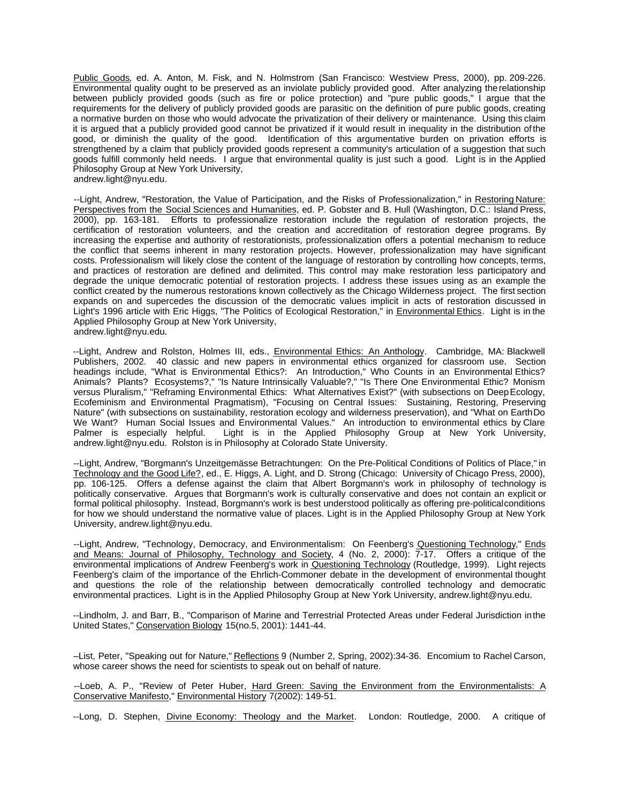Public Goods, ed. A. Anton, M. Fisk, and N. Holmstrom (San Francisco: Westview Press, 2000), pp. 209-226. Environmental quality ought to be preserved as an inviolate publicly provided good. After analyzing the relationship between publicly provided goods (such as fire or police protection) and "pure public goods," I argue that the requirements for the delivery of publicly provided goods are parasitic on the definition of pure public goods, creating a normative burden on those who would advocate the privatization of their delivery or maintenance. Using this claim it is argued that a publicly provided good cannot be privatized if it would result in inequality in the distribution of the good, or diminish the quality of the good. Identification of this argumentative burden on privation efforts is strengthened by a claim that publicly provided goods represent a community's articulation of a suggestion that such goods fulfill commonly held needs. I argue that environmental quality is just such a good. Light is in the Applied Philosophy Group at New York University, andrew.light@nyu.edu.

--Light, Andrew, "Restoration, the Value of Participation, and the Risks of Professionalization," in Restoring Nature: Perspectives from the Social Sciences and Humanities, ed. P. Gobster and B. Hull (Washington, D.C.: Island Press, 2000), pp. 163-181. Efforts to professionalize restoration include the regulation of restoration projects, the certification of restoration volunteers, and the creation and accreditation of restoration degree programs. By increasing the expertise and authority of restorationists, professionalization offers a potential mechanism to reduce the conflict that seems inherent in many restoration projects. However, professionalization may have significant costs. Professionalism will likely close the content of the language of restoration by controlling how concepts, terms, and practices of restoration are defined and delimited. This control may make restoration less participatory and degrade the unique democratic potential of restoration projects. I address these issues using as an example the conflict created by the numerous restorations known collectively as the Chicago Wilderness project. The first section expands on and supercedes the discussion of the democratic values implicit in acts of restoration discussed in Light's 1996 article with Eric Higgs, "The Politics of Ecological Restoration," in Environmental Ethics. Light is in the Applied Philosophy Group at New York University, andrew.light@nyu.edu.

--Light, Andrew and Rolston, Holmes III, eds., *Environmental Ethics: An Anthology*. Cambridge, MA: Blackwell Publishers, 2002. 40 classic and new papers in environmental ethics organized for classroom use. Section headings include, "What is Environmental Ethics?: An Introduction," Who Counts in an Environmental Ethics? Animals? Plants? Ecosystems?," "Is Nature Intrinsically Valuable?," "Is There One Environmental Ethic? Monism versus Pluralism," "Reframing Environmental Ethics: What Alternatives Exist?" (with subsections on Deep Ecology, Ecofeminism and Environmental Pragmatism), "Focusing on Central Issues: Sustaining, Restoring, Preserving Nature" (with subsections on sustainability, restoration ecology and wilderness preservation), and "What on Earth Do We Want? Human Social Issues and Environmental Values." An introduction to environmental ethics by Clare Palmer is especially helpful. Light is in the Applied Philosophy Group at New York University, andrew.light@nyu.edu. Rolston is in Philosophy at Colorado State University.

--Light, Andrew, "Borgmann's Unzeitgemässe Betrachtungen: On the Pre-Political Conditions of Politics of Place," in Technology and the Good Life?, ed., E. Higgs, A. Light, and D. Strong (Chicago: University of Chicago Press, 2000), pp. 106-125. Offers a defense against the claim that Albert Borgmann's work in philosophy of technology is politically conservative. Argues that Borgmann's work is culturally conservative and does not contain an explicit or formal political philosophy. Instead, Borgmann's work is best understood politically as offering pre-political conditions for how we should understand the normative value of places. Light is in the Applied Philosophy Group at New York University, andrew.light@nyu.edu.

--Light, Andrew, "Technology, Democracy, and Environmentalism: On Feenberg's Questioning Technology," Ends and Means: Journal of Philosophy, Technology and Society, 4 (No. 2, 2000): 7-17. Offers a critique of the environmental implications of Andrew Feenberg's work in Questioning Technology (Routledge, 1999). Light rejects Feenberg's claim of the importance of the Ehrlich-Commoner debate in the development of environmental thought and questions the role of the relationship between democratically controlled technology and democratic environmental practices. Light is in the Applied Philosophy Group at New York University, andrew.light@nyu.edu.

--Lindholm, J. and Barr, B., "Comparison of Marine and Terrestrial Protected Areas under Federal Jurisdiction in the United States," Conservation Biology 15(no.5, 2001): 1441-44.

–List, Peter, "Speaking out for Nature," Reflections 9 (Number 2, Spring, 2002):34-36. Encomium to Rachel Carson, whose career shows the need for scientists to speak out on behalf of nature.

--Loeb, A. P., "Review of Peter Huber, *Hard Green: Saving the Environment from the Environmentalists: A* Conservative Manifesto," Environmental History 7(2002): 149-51.

--Long, D. Stephen, Divine Economy: Theology and the Market. London: Routledge, 2000. A critique of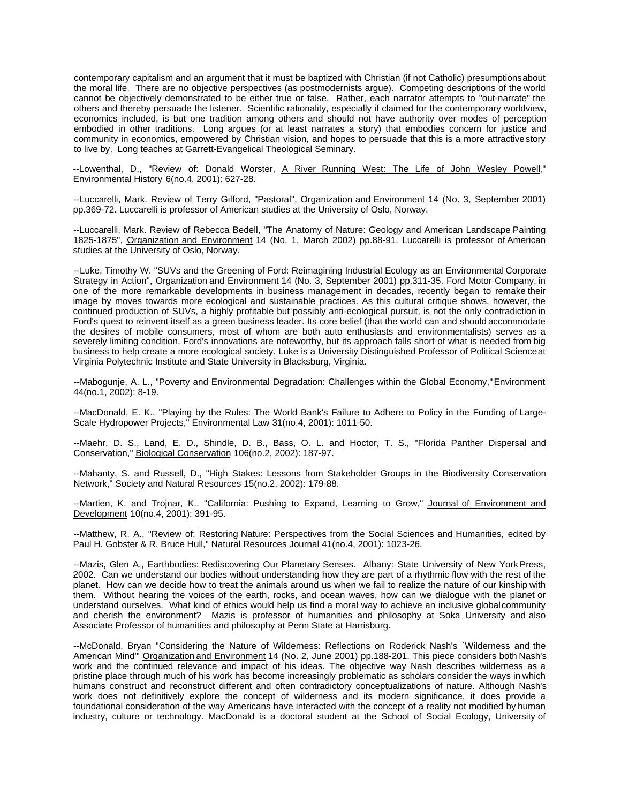contemporary capitalism and an argument that it must be baptized with Christian (if not Catholic) presumptions about the moral life. There are no objective perspectives (as postmodernists argue). Competing descriptions of the world cannot be objectively demonstrated to be either true or false. Rather, each narrator attempts to "out-narrate" the others and thereby persuade the listener. Scientific rationality, especially if claimed for the contemporary worldview, economics included, is but one tradition among others and should not have authority over modes of perception embodied in other traditions. Long argues (or at least narrates a story) that embodies concern for justice and community in economics, empowered by Christian vision, and hopes to persuade that this is a more attractive story to live by. Long teaches at Garrett-Evangelical Theological Seminary.

--Lowenthal, D., "Review of: Donald Worster, A River Running West: The Life of John Wesley Powell," Environmental History 6(no.4, 2001): 627-28.

--Luccarelli, Mark. Review of Terry Gifford, "Pastoral", Organization and Environment 14 (No. 3, September 2001) pp.369-72. Luccarelli is professor of American studies at the University of Oslo, Norway.

--Luccarelli, Mark. Review of Rebecca Bedell, "The Anatomy of Nature: Geology and American Landscape Painting 1825-1875", Organization and Environment 14 (No. 1, March 2002) pp.88-91. Luccarelli is professor of American studies at the University of Oslo, Norway.

--Luke, Timothy W. "SUVs and the Greening of Ford: Reimagining Industrial Ecology as an Environmental Corporate Strategy in Action", Organization and Environment 14 (No. 3, September 2001) pp.311-35. Ford Motor Company, in one of the more remarkable developments in business management in decades, recently began to remake their image by moves towards more ecological and sustainable practices. As this cultural critique shows, however, the continued production of SUVs, a highly profitable but possibly anti-ecological pursuit, is not the only contradiction in Ford's quest to reinvent itself as a green business leader. Its core belief (that the world can and should accommodate the desires of mobile consumers, most of whom are both auto enthusiasts and environmentalists) serves as a severely limiting condition. Ford's innovations are noteworthy, but its approach falls short of what is needed from big business to help create a more ecological society. Luke is a University Distinguished Professor of Political Science at Virginia Polytechnic Institute and State University in Blacksburg, Virginia.

--Mabogunje, A. L., "Poverty and Environmental Degradation: Challenges within the Global Economy," Environment 44(no.1, 2002): 8-19.

--MacDonald, E. K., "Playing by the Rules: The World Bank's Failure to Adhere to Policy in the Funding of Large-Scale Hydropower Projects," Environmental Law 31(no.4, 2001): 1011-50.

--Maehr, D. S., Land, E. D., Shindle, D. B., Bass, O. L. and Hoctor, T. S., "Florida Panther Dispersal and Conservation," Biological Conservation 106(no.2, 2002): 187-97.

--Mahanty, S. and Russell, D., "High Stakes: Lessons from Stakeholder Groups in the Biodiversity Conservation Network," Society and Natural Resources 15(no.2, 2002): 179-88.

--Martien, K. and Trojnar, K., "California: Pushing to Expand, Learning to Grow," Journal of Environment and Development 10(no.4, 2001): 391-95.

--Matthew, R. A., "Review of: Restoring Nature: Perspectives from the Social Sciences and Humanities, edited by Paul H. Gobster & R. Bruce Hull," Natural Resources Journal 41(no.4, 2001): 1023-26.

--Mazis, Glen A., Earthbodies: Rediscovering Our Planetary Senses. Albany: State University of New York Press, 2002. Can we understand our bodies without understanding how they are part of a rhythmic flow with the rest of the planet. How can we decide how to treat the animals around us when we fail to realize the nature of our kinship with them. Without hearing the voices of the earth, rocks, and ocean waves, how can we dialogue with the planet or understand ourselves. What kind of ethics would help us find a moral way to achieve an inclusive global community and cherish the environment? Mazis is professor of humanities and philosophy at Soka University and also Associate Professor of humanities and philosophy at Penn State at Harrisburg.

--McDonald, Bryan "Considering the Nature of Wilderness: Reflections on Roderick Nash's `Wilderness and the American Mind'" Organization and Environment 14 (No. 2, June 2001) pp.188-201. This piece considers both Nash's work and the continued relevance and impact of his ideas. The objective way Nash describes wilderness as a pristine place through much of his work has become increasingly problematic as scholars consider the ways in which humans construct and reconstruct different and often contradictory conceptualizations of nature. Although Nash's work does not definitively explore the concept of wilderness and its modern significance, it does provide a foundational consideration of the way Americans have interacted with the concept of a reality not modified by human industry, culture or technology. MacDonald is a doctoral student at the School of Social Ecology, University of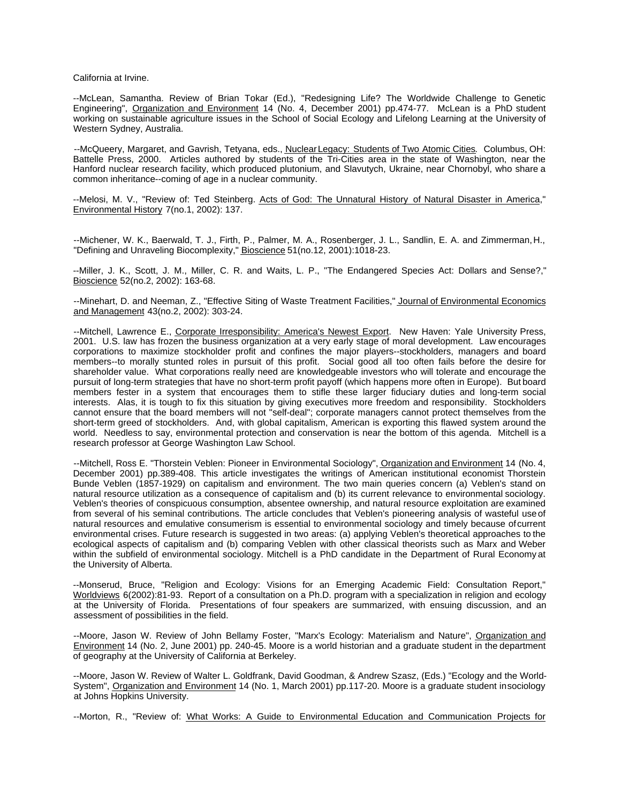California at Irvine.

--McLean, Samantha. Review of Brian Tokar (Ed.), "Redesigning Life? The Worldwide Challenge to Genetic Engineering", Organization and Environment 14 (No. 4, December 2001) pp.474-77. McLean is a PhD student working on sustainable agriculture issues in the School of Social Ecology and Lifelong Learning at the University of Western Sydney, Australia.

--McQueery, Margaret, and Gavrish, Tetyana, eds., Nuclear Legacy: Students of Two Atomic Cities. Columbus, OH: Battelle Press, 2000. Articles authored by students of the Tri-Cities area in the state of Washington, near the Hanford nuclear research facility, which produced plutonium, and Slavutych, Ukraine, near Chornobyl, who share a common inheritance--coming of age in a nuclear community.

--Melosi, M. V., "Review of: Ted Steinberg. Acts of God: The Unnatural History of Natural Disaster in America," Environmental History 7(no.1, 2002): 137.

--Michener, W. K., Baerwald, T. J., Firth, P., Palmer, M. A., Rosenberger, J. L., Sandlin, E. A. and Zimmerman, H., "Defining and Unraveling Biocomplexity," Bioscience 51(no.12, 2001):1018-23.

--Miller, J. K., Scott, J. M., Miller, C. R. and Waits, L. P., "The Endangered Species Act: Dollars and Sense?," Bioscience 52(no.2, 2002): 163-68.

--Minehart, D. and Neeman, Z., "Effective Siting of Waste Treatment Facilities," Journal of Environmental Economics and Management 43(no.2, 2002): 303-24.

--Mitchell, Lawrence E., Corporate Irresponsibility: America's Newest Export. New Haven: Yale University Press, 2001. U.S. law has frozen the business organization at a very early stage of moral development. Law encourages corporations to maximize stockholder profit and confines the major players--stockholders, managers and board members--to morally stunted roles in pursuit of this profit. Social good all too often fails before the desire for shareholder value. What corporations really need are knowledgeable investors who will tolerate and encourage the pursuit of long-term strategies that have no short-term profit payoff (which happens more often in Europe). But board members fester in a system that encourages them to stifle these larger fiduciary duties and long-term social interests. Alas, it is tough to fix this situation by giving executives more freedom and responsibility. Stockholders cannot ensure that the board members will not "self-deal"; corporate managers cannot protect themselves from the short-term greed of stockholders. And, with global capitalism, American is exporting this flawed system around the world. Needless to say, environmental protection and conservation is near the bottom of this agenda. Mitchell is a research professor at George Washington Law School.

--Mitchell, Ross E. "Thorstein Veblen: Pioneer in Environmental Sociology", Organization and Environment 14 (No. 4, December 2001) pp.389-408. This article investigates the writings of American institutional economist Thorstein Bunde Veblen (1857-1929) on capitalism and environment. The two main queries concern (a) Veblen's stand on natural resource utilization as a consequence of capitalism and (b) its current relevance to environmental sociology. Veblen's theories of conspicuous consumption, absentee ownership, and natural resource exploitation are examined from several of his seminal contributions. The article concludes that Veblen's pioneering analysis of wasteful use of natural resources and emulative consumerism is essential to environmental sociology and timely because of current environmental crises. Future research is suggested in two areas: (a) applying Veblen's theoretical approaches to the ecological aspects of capitalism and (b) comparing Veblen with other classical theorists such as Marx and Weber within the subfield of environmental sociology. Mitchell is a PhD candidate in the Department of Rural Economy at the University of Alberta.

--Monserud, Bruce, "Religion and Ecology: Visions for an Emerging Academic Field: Consultation Report," Worldviews 6(2002):81-93. Report of a consultation on a Ph.D. program with a specialization in religion and ecology at the University of Florida. Presentations of four speakers are summarized, with ensuing discussion, and an assessment of possibilities in the field.

--Moore, Jason W. Review of John Bellamy Foster, "Marx's Ecology: Materialism and Nature", Organization and Environment 14 (No. 2, June 2001) pp. 240-45. Moore is a world historian and a graduate student in the department of geography at the University of California at Berkeley.

--Moore, Jason W. Review of Walter L. Goldfrank, David Goodman, & Andrew Szasz, (Eds.) "Ecology and the World-System", Organization and Environment 14 (No. 1, March 2001) pp.117-20. Moore is a graduate student in sociology at Johns Hopkins University.

--Morton, R., "Review of: What Works: A Guide to Environmental Education and Communication Projects for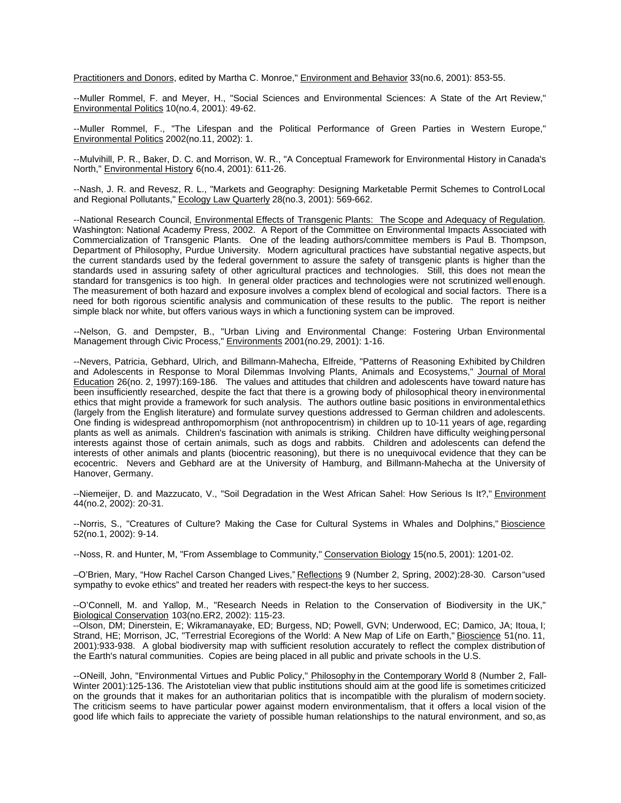Practitioners and Donors, edited by Martha C. Monroe," Environment and Behavior 33(no.6, 2001): 853-55.

--Muller Rommel, F. and Meyer, H., "Social Sciences and Environmental Sciences: A State of the Art Review," Environmental Politics 10(no.4, 2001): 49-62.

--Muller Rommel, F., "The Lifespan and the Political Performance of Green Parties in Western Europe," Environmental Politics 2002(no.11, 2002): 1.

--Mulvihill, P. R., Baker, D. C. and Morrison, W. R., "A Conceptual Framework for Environmental History in Canada's North," Environmental History 6(no.4, 2001): 611-26.

--Nash, J. R. and Revesz, R. L., "Markets and Geography: Designing Marketable Permit Schemes to Control Local and Regional Pollutants," Ecology Law Quarterly 28(no.3, 2001): 569-662.

--National Research Council, Environmental Effects of Transgenic Plants: The Scope and Adequacy of Regulation. Washington: National Academy Press, 2002. A Report of the Committee on Environmental Impacts Associated with Commercialization of Transgenic Plants. One of the leading authors/committee members is Paul B. Thompson, Department of Philosophy, Purdue University. Modern agricultural practices have substantial negative aspects, but the current standards used by the federal government to assure the safety of transgenic plants is higher than the standards used in assuring safety of other agricultural practices and technologies. Still, this does not mean the standard for transgenics is too high. In general older practices and technologies were not scrutinized well enough. The measurement of both hazard and exposure involves a complex blend of ecological and social factors. There is a need for both rigorous scientific analysis and communication of these results to the public. The report is neither simple black nor white, but offers various ways in which a functioning system can be improved.

--Nelson, G. and Dempster, B., "Urban Living and Environmental Change: Fostering Urban Environmental Management through Civic Process," Environments 2001(no.29, 2001): 1-16.

--Nevers, Patricia, Gebhard, Ulrich, and Billmann-Mahecha, Elfreide, "Patterns of Reasoning Exhibited by Children and Adolescents in Response to Moral Dilemmas Involving Plants, Animals and Ecosystems," Journal of Moral Education 26(no. 2, 1997):169-186. The values and attitudes that children and adolescents have toward nature has been insufficiently researched, despite the fact that there is a growing body of philosophical theory in environmental ethics that might provide a framework for such analysis. The authors outline basic positions in environmental ethics (largely from the English literature) and formulate survey questions addressed to German children and adolescents. One finding is widespread anthropomorphism (not anthropocentrism) in children up to 10-11 years of age, regarding plants as well as animals. Children's fascination with animals is striking. Children have difficulty weighing personal interests against those of certain animals, such as dogs and rabbits. Children and adolescents can defend the interests of other animals and plants (biocentric reasoning), but there is no unequivocal evidence that they can be ecocentric. Nevers and Gebhard are at the University of Hamburg, and Billmann-Mahecha at the University of Hanover, Germany.

--Niemeijer, D. and Mazzucato, V., "Soil Degradation in the West African Sahel: How Serious Is It?," Environment 44(no.2, 2002): 20-31.

--Norris, S., "Creatures of Culture? Making the Case for Cultural Systems in Whales and Dolphins," Bioscience 52(no.1, 2002): 9-14.

--Noss, R. and Hunter, M, "From Assemblage to Community," Conservation Biology 15(no.5, 2001): 1201-02.

–O'Brien, Mary, "How Rachel Carson Changed Lives," Reflections 9 (Number 2, Spring, 2002):28-30. Carson "used sympathy to evoke ethics" and treated her readers with respect-the keys to her success.

--O'Connell, M. and Yallop, M., "Research Needs in Relation to the Conservation of Biodiversity in the UK," Biological Conservation 103(no.ER2, 2002): 115-23.

--Olson, DM; Dinerstein, E; Wikramanayake, ED; Burgess, ND; Powell, GVN; Underwood, EC; Damico, JA; Itoua, I; Strand, HE; Morrison, JC, "Terrestrial Ecoregions of the World: A New Map of Life on Earth," Bioscience 51(no. 11, 2001):933-938. A global biodiversity map with sufficient resolution accurately to reflect the complex distribution of the Earth's natural communities. Copies are being placed in all public and private schools in the U.S.

--ONeill, John, "Environmental Virtues and Public Policy," Philosophy in the Contemporary World 8 (Number 2, Fall-Winter 2001):125-136. The Aristotelian view that public institutions should aim at the good life is sometimes criticized on the grounds that it makes for an authoritarian politics that is incompatible with the pluralism of modern society. The criticism seems to have particular power against modern environmentalism, that it offers a local vision of the good life which fails to appreciate the variety of possible human relationships to the natural environment, and so, as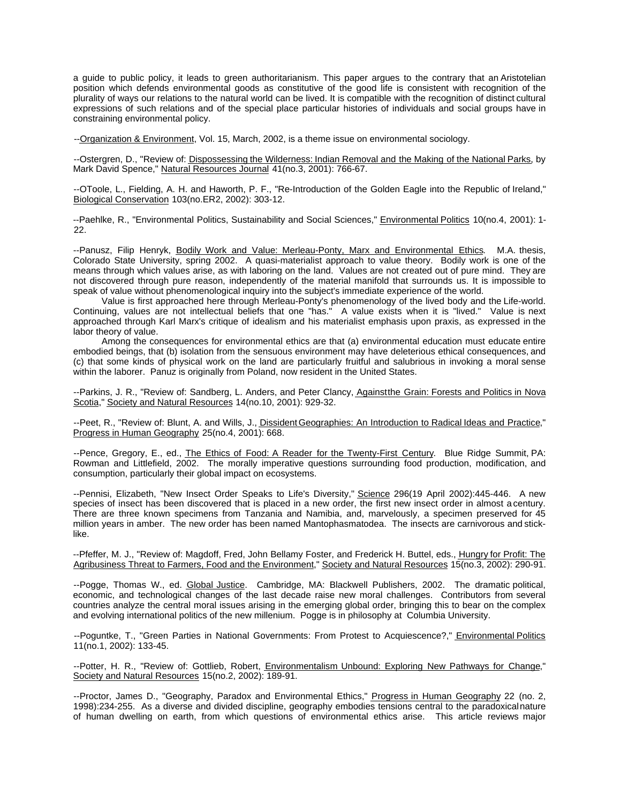a guide to public policy, it leads to green authoritarianism. This paper argues to the contrary that an Aristotelian position which defends environmental goods as constitutive of the good life is consistent with recognition of the plurality of ways our relations to the natural world can be lived. It is compatible with the recognition of distinct cultural expressions of such relations and of the special place particular histories of individuals and social groups have in constraining environmental policy.

--Organization & Environment, Vol. 15, March, 2002, is a theme issue on environmental sociology.

--Ostergren, D., "Review of: Dispossessing the Wilderness: Indian Removal and the Making of the National Parks, by Mark David Spence," Natural Resources Journal 41(no.3, 2001): 766-67.

--OToole, L., Fielding, A. H. and Haworth, P. F., "Re-Introduction of the Golden Eagle into the Republic of Ireland," Biological Conservation 103(no.ER2, 2002): 303-12.

--Paehlke, R., "Environmental Politics, Sustainability and Social Sciences," Environmental Politics 10(no.4, 2001): 1- 22.

--Panusz, Filip Henryk, Bodily Work and Value: Merleau-Ponty, Marx and Environmental Ethics. M.A. thesis, Colorado State University, spring 2002. A quasi-materialist approach to value theory. Bodily work is one of the means through which values arise, as with laboring on the land. Values are not created out of pure mind. They are not discovered through pure reason, independently of the material manifold that surrounds us. It is impossible to speak of value without phenomenological inquiry into the subject's immediate experience of the world.

Value is first approached here through Merleau-Ponty's phenomenology of the lived body and the Life-world. Continuing, values are not intellectual beliefs that one "has." A value exists when it is "lived." Value is next approached through Karl Marx's critique of idealism and his materialist emphasis upon praxis, as expressed in the labor theory of value.

Among the consequences for environmental ethics are that (a) environmental education must educate entire embodied beings, that (b) isolation from the sensuous environment may have deleterious ethical consequences, and (c) that some kinds of physical work on the land are particularly fruitful and salubrious in invoking a moral sense within the laborer. Panuz is originally from Poland, now resident in the United States.

--Parkins, J. R., "Review of: Sandberg, L. Anders, and Peter Clancy, Against the Grain: Forests and Politics in Nova Scotia," Society and Natural Resources 14(no.10, 2001): 929-32.

--Peet, R., "Review of: Blunt, A. and Wills, J., Dissident Geographies: An Introduction to Radical Ideas and Practice," Progress in Human Geography 25(no.4, 2001): 668.

--Pence, Gregory, E., ed., *The Ethics of Food: A Reader for the Twenty-First Century.* Blue Ridge Summit, PA: Rowman and Littlefield, 2002. The morally imperative questions surrounding food production, modification, and consumption, particularly their global impact on ecosystems.

--Pennisi, Elizabeth, "New Insect Order Speaks to Life's Diversity," Science 296(19 April 2002):445-446. A new species of insect has been discovered that is placed in a new order, the first new insect order in almost a century. There are three known specimens from Tanzania and Namibia, and, marvelously, a specimen preserved for 45 million years in amber. The new order has been named Mantophasmatodea. The insects are carnivorous and sticklike.

--Pfeffer, M. J., "Review of: Magdoff, Fred, John Bellamy Foster, and Frederick H. Buttel, eds., Hungry for Profit: The Agribusiness Threat to Farmers, Food and the Environment," Society and Natural Resources 15(no.3, 2002): 290-91.

--Pogge, Thomas W., ed. Global Justice. Cambridge, MA: Blackwell Publishers, 2002. The dramatic political, economic, and technological changes of the last decade raise new moral challenges. Contributors from several countries analyze the central moral issues arising in the emerging global order, bringing this to bear on the complex and evolving international politics of the new millenium. Pogge is in philosophy at Columbia University.

--Poguntke, T., "Green Parties in National Governments: From Protest to Acquiescence?," Environmental Politics 11(no.1, 2002): 133-45.

--Potter, H. R., "Review of: Gottlieb, Robert, Environmentalism Unbound: Exploring New Pathways for Change," Society and Natural Resources 15(no.2, 2002): 189-91.

--Proctor, James D., "Geography, Paradox and Environmental Ethics," Progress in Human Geography 22 (no. 2, 1998):234-255. As a diverse and divided discipline, geography embodies tensions central to the paradoxical nature of human dwelling on earth, from which questions of environmental ethics arise. This article reviews major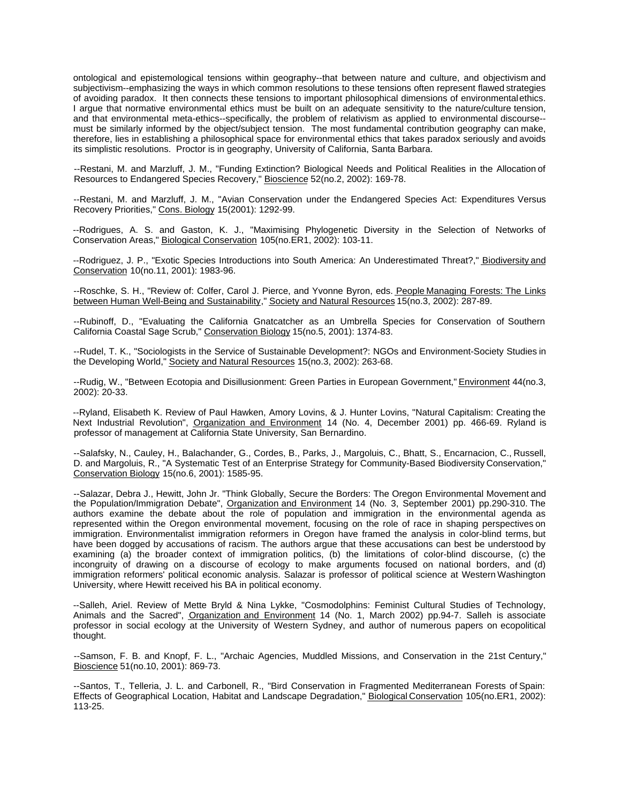ontological and epistemological tensions within geography--that between nature and culture, and objectivism and subjectivism--emphasizing the ways in which common resolutions to these tensions often represent flawed strategies of avoiding paradox. It then connects these tensions to important philosophical dimensions of environmental ethics. I argue that normative environmental ethics must be built on an adequate sensitivity to the nature/culture tension, and that environmental meta-ethics--specifically, the problem of relativism as applied to environmental discourse- must be similarly informed by the object/subject tension. The most fundamental contribution geography can make, therefore, lies in establishing a philosophical space for environmental ethics that takes paradox seriously and avoids its simplistic resolutions. Proctor is in geography, University of California, Santa Barbara.

--Restani, M. and Marzluff, J. M., "Funding Extinction? Biological Needs and Political Realities in the Allocation of Resources to Endangered Species Recovery," Bioscience 52(no.2, 2002): 169-78.

--Restani, M. and Marzluff, J. M., "Avian Conservation under the Endangered Species Act: Expenditures Versus Recovery Priorities," Cons. Biology 15(2001): 1292-99.

--Rodrigues, A. S. and Gaston, K. J., "Maximising Phylogenetic Diversity in the Selection of Networks of Conservation Areas," Biological Conservation 105(no.ER1, 2002): 103-11.

--Rodriguez, J. P., "Exotic Species Introductions into South America: An Underestimated Threat?," Biodiversity and Conservation 10(no.11, 2001): 1983-96.

--Roschke, S. H., "Review of: Colfer, Carol J. Pierce, and Yvonne Byron, eds. People Managing Forests: The Links between Human Well-Being and Sustainability," Society and Natural Resources 15(no.3, 2002): 287-89.

--Rubinoff, D., "Evaluating the California Gnatcatcher as an Umbrella Species for Conservation of Southern California Coastal Sage Scrub," Conservation Biology 15(no.5, 2001): 1374-83.

--Rudel, T. K., "Sociologists in the Service of Sustainable Development?: NGOs and Environment-Society Studies in the Developing World," Society and Natural Resources 15(no.3, 2002): 263-68.

--Rudig, W., "Between Ecotopia and Disillusionment: Green Parties in European Government," Environment 44(no.3, 2002): 20-33.

--Ryland, Elisabeth K. Review of Paul Hawken, Amory Lovins, & J. Hunter Lovins, "Natural Capitalism: Creating the Next Industrial Revolution", Organization and Environment 14 (No. 4, December 2001) pp. 466-69. Ryland is professor of management at California State University, San Bernardino.

--Salafsky, N., Cauley, H., Balachander, G., Cordes, B., Parks, J., Margoluis, C., Bhatt, S., Encarnacion, C., Russell, D. and Margoluis, R., "A Systematic Test of an Enterprise Strategy for Community-Based Biodiversity Conservation," Conservation Biology 15(no.6, 2001): 1585-95.

--Salazar, Debra J., Hewitt, John Jr. "Think Globally, Secure the Borders: The Oregon Environmental Movement and the Population/Immigration Debate", Organization and Environment 14 (No. 3, September 2001) pp.290-310. The authors examine the debate about the role of population and immigration in the environmental agenda as represented within the Oregon environmental movement, focusing on the role of race in shaping perspectives on immigration. Environmentalist immigration reformers in Oregon have framed the analysis in color-blind terms, but have been dogged by accusations of racism. The authors argue that these accusations can best be understood by examining (a) the broader context of immigration politics, (b) the limitations of color-blind discourse, (c) the incongruity of drawing on a discourse of ecology to make arguments focused on national borders, and (d) immigration reformers' political economic analysis. Salazar is professor of political science at Western Washington University, where Hewitt received his BA in political economy.

--Salleh, Ariel. Review of Mette Bryld & Nina Lykke, "Cosmodolphins: Feminist Cultural Studies of Technology, Animals and the Sacred", Organization and Environment 14 (No. 1, March 2002) pp.94-7. Salleh is associate professor in social ecology at the University of Western Sydney, and author of numerous papers on ecopolitical thought.

--Samson, F. B. and Knopf, F. L., "Archaic Agencies, Muddled Missions, and Conservation in the 21st Century," Bioscience 51(no.10, 2001): 869-73.

--Santos, T., Telleria, J. L. and Carbonell, R., "Bird Conservation in Fragmented Mediterranean Forests of Spain: Effects of Geographical Location, Habitat and Landscape Degradation," Biological Conservation 105(no.ER1, 2002): 113-25.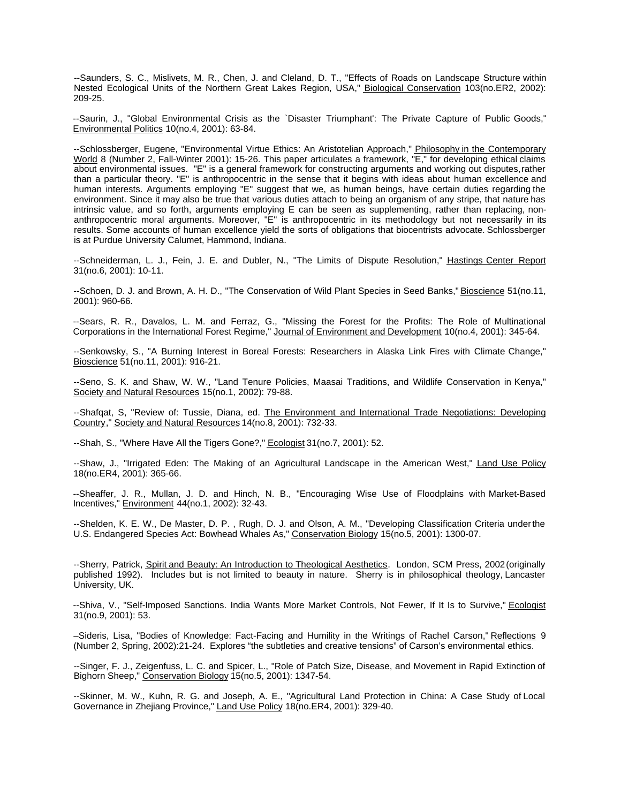--Saunders, S. C., Mislivets, M. R., Chen, J. and Cleland, D. T., "Effects of Roads on Landscape Structure within Nested Ecological Units of the Northern Great Lakes Region, USA," Biological Conservation 103(no.ER2, 2002): 209-25.

--Saurin, J., "Global Environmental Crisis as the `Disaster Triumphant': The Private Capture of Public Goods," Environmental Politics 10(no.4, 2001): 63-84.

--Schlossberger, Eugene, "Environmental Virtue Ethics: An Aristotelian Approach," Philosophy in the Contemporary World 8 (Number 2, Fall-Winter 2001): 15-26. This paper articulates a framework, "E," for developing ethical claims about environmental issues. "E" is a general framework for constructing arguments and working out disputes, rather than a particular theory. "E" is anthropocentric in the sense that it begins with ideas about human excellence and human interests. Arguments employing "E" suggest that we, as human beings, have certain duties regarding the environment. Since it may also be true that various duties attach to being an organism of any stripe, that nature has intrinsic value, and so forth, arguments employing E can be seen as supplementing, rather than replacing, nonanthropocentric moral arguments. Moreover, "E" is anthropocentric in its methodology but not necessarily in its results. Some accounts of human excellence yield the sorts of obligations that biocentrists advocate. Schlossberger is at Purdue University Calumet, Hammond, Indiana.

--Schneiderman, L. J., Fein, J. E. and Dubler, N., "The Limits of Dispute Resolution," Hastings Center Report 31(no.6, 2001): 10-11.

--Schoen, D. J. and Brown, A. H. D., "The Conservation of Wild Plant Species in Seed Banks," Bioscience 51(no.11, 2001): 960-66.

--Sears, R. R., Davalos, L. M. and Ferraz, G., "Missing the Forest for the Profits: The Role of Multinational Corporations in the International Forest Regime," Journal of Environment and Development 10(no.4, 2001): 345-64.

--Senkowsky, S., "A Burning Interest in Boreal Forests: Researchers in Alaska Link Fires with Climate Change," Bioscience 51(no.11, 2001): 916-21.

--Seno, S. K. and Shaw, W. W., "Land Tenure Policies, Maasai Traditions, and Wildlife Conservation in Kenya," Society and Natural Resources 15(no.1, 2002): 79-88.

--Shafqat, S, "Review of: Tussie, Diana, ed. The Environment and International Trade Negotiations: Developing Country," Society and Natural Resources 14(no.8, 2001): 732-33.

--Shah, S., "Where Have All the Tigers Gone?," Ecologist 31(no.7, 2001): 52.

--Shaw, J., "Irrigated Eden: The Making of an Agricultural Landscape in the American West," Land Use Policy 18(no.ER4, 2001): 365-66.

--Sheaffer, J. R., Mullan, J. D. and Hinch, N. B., "Encouraging Wise Use of Floodplains with Market-Based Incentives," Environment 44(no.1, 2002): 32-43.

--Shelden, K. E. W., De Master, D. P. , Rugh, D. J. and Olson, A. M., "Developing Classification Criteria under the U.S. Endangered Species Act: Bowhead Whales As," Conservation Biology 15(no.5, 2001): 1300-07.

--Sherry, Patrick, Spirit and Beauty: An Introduction to Theological Aesthetics. London, SCM Press, 2002 (originally published 1992). Includes but is not limited to beauty in nature. Sherry is in philosophical theology, Lancaster University, UK.

--Shiva, V., "Self-Imposed Sanctions. India Wants More Market Controls, Not Fewer, If It Is to Survive," Ecologist 31(no.9, 2001): 53.

–Sideris, Lisa, "Bodies of Knowledge: Fact-Facing and Humility in the Writings of Rachel Carson," Reflections 9 (Number 2, Spring, 2002):21-24. Explores "the subtleties and creative tensions" of Carson's environmental ethics.

--Singer, F. J., Zeigenfuss, L. C. and Spicer, L., "Role of Patch Size, Disease, and Movement in Rapid Extinction of Bighorn Sheep," Conservation Biology 15(no.5, 2001): 1347-54.

--Skinner, M. W., Kuhn, R. G. and Joseph, A. E., "Agricultural Land Protection in China: A Case Study of Local Governance in Zhejiang Province," Land Use Policy 18(no.ER4, 2001): 329-40.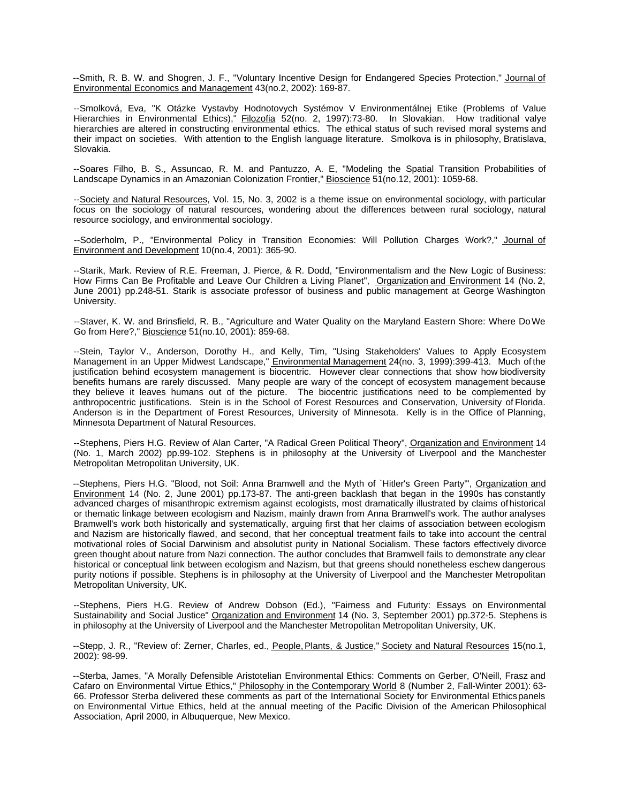--Smith, R. B. W. and Shogren, J. F., "Voluntary Incentive Design for Endangered Species Protection," Journal of Environmental Economics and Management 43(no.2, 2002): 169-87.

--Smolková, Eva, "K Otázke Vystavby Hodnotovych Systémov V Environmentálnej Etike (Problems of Value Hierarchies in Environmental Ethics)," Filozofia 52(no. 2, 1997):73-80. In Slovakian. How traditional valye hierarchies are altered in constructing environmental ethics. The ethical status of such revised moral systems and their impact on societies. With attention to the English language literature. Smolkova is in philosophy, Bratislava, Slovakia.

--Soares Filho, B. S., Assuncao, R. M. and Pantuzzo, A. E, "Modeling the Spatial Transition Probabilities of Landscape Dynamics in an Amazonian Colonization Frontier," Bioscience 51(no.12, 2001): 1059-68.

--Society and Natural Resources, Vol. 15, No. 3, 2002 is a theme issue on environmental sociology, with particular focus on the sociology of natural resources, wondering about the differences between rural sociology, natural resource sociology, and environmental sociology.

--Soderholm, P., "Environmental Policy in Transition Economies: Will Pollution Charges Work?," Journal of Environment and Development 10(no.4, 2001): 365-90.

--Starik, Mark. Review of R.E. Freeman, J. Pierce, & R. Dodd, "Environmentalism and the New Logic of Business: How Firms Can Be Profitable and Leave Our Children a Living Planet", Organization and Environment 14 (No. 2, June 2001) pp.248-51. Starik is associate professor of business and public management at George Washington University.

--Staver, K. W. and Brinsfield, R. B., "Agriculture and Water Quality on the Maryland Eastern Shore: Where Do We Go from Here?," Bioscience 51(no.10, 2001): 859-68.

--Stein, Taylor V., Anderson, Dorothy H., and Kelly, Tim, "Using Stakeholders' Values to Apply Ecosystem Management in an Upper Midwest Landscape," Environmental Management 24(no. 3, 1999):399-413. Much of the justification behind ecosystem management is biocentric. However clear connections that show how biodiversity benefits humans are rarely discussed. Many people are wary of the concept of ecosystem management because they believe it leaves humans out of the picture. The biocentric justifications need to be complemented by anthropocentric justifications. Stein is in the School of Forest Resources and Conservation, University of Florida. Anderson is in the Department of Forest Resources, University of Minnesota. Kelly is in the Office of Planning, Minnesota Department of Natural Resources.

--Stephens, Piers H.G. Review of Alan Carter, "A Radical Green Political Theory", Organization and Environment 14 (No. 1, March 2002) pp.99-102. Stephens is in philosophy at the University of Liverpool and the Manchester Metropolitan Metropolitan University, UK.

--Stephens, Piers H.G. "Blood, not Soil: Anna Bramwell and the Myth of `Hitler's Green Party'", Organization and Environment 14 (No. 2, June 2001) pp.173-87. The anti-green backlash that began in the 1990s has constantly advanced charges of misanthropic extremism against ecologists, most dramatically illustrated by claims of historical or thematic linkage between ecologism and Nazism, mainly drawn from Anna Bramwell's work. The author analyses Bramwell's work both historically and systematically, arguing first that her claims of association between ecologism and Nazism are historically flawed, and second, that her conceptual treatment fails to take into account the central motivational roles of Social Darwinism and absolutist purity in National Socialism. These factors effectively divorce green thought about nature from Nazi connection. The author concludes that Bramwell fails to demonstrate any clear historical or conceptual link between ecologism and Nazism, but that greens should nonetheless eschew dangerous purity notions if possible. Stephens is in philosophy at the University of Liverpool and the Manchester Metropolitan Metropolitan University, UK.

--Stephens, Piers H.G. Review of Andrew Dobson (Ed.), "Fairness and Futurity: Essays on Environmental Sustainability and Social Justice" Organization and Environment 14 (No. 3, September 2001) pp.372-5. Stephens is in philosophy at the University of Liverpool and the Manchester Metropolitan Metropolitan University, UK.

--Stepp, J. R., "Review of: Zerner, Charles, ed., People, Plants, & Justice," Society and Natural Resources 15(no.1, 2002): 98-99.

--Sterba, James, "A Morally Defensible Aristotelian Environmental Ethics: Comments on Gerber, O'Neill, Frasz and Cafaro on Environmental Virtue Ethics," Philosophy in the Contemporary World 8 (Number 2, Fall-Winter 2001): 63- 66. Professor Sterba delivered these comments as part of the International Society for Environmental Ethics panels on Environmental Virtue Ethics, held at the annual meeting of the Pacific Division of the American Philosophical Association, April 2000, in Albuquerque, New Mexico.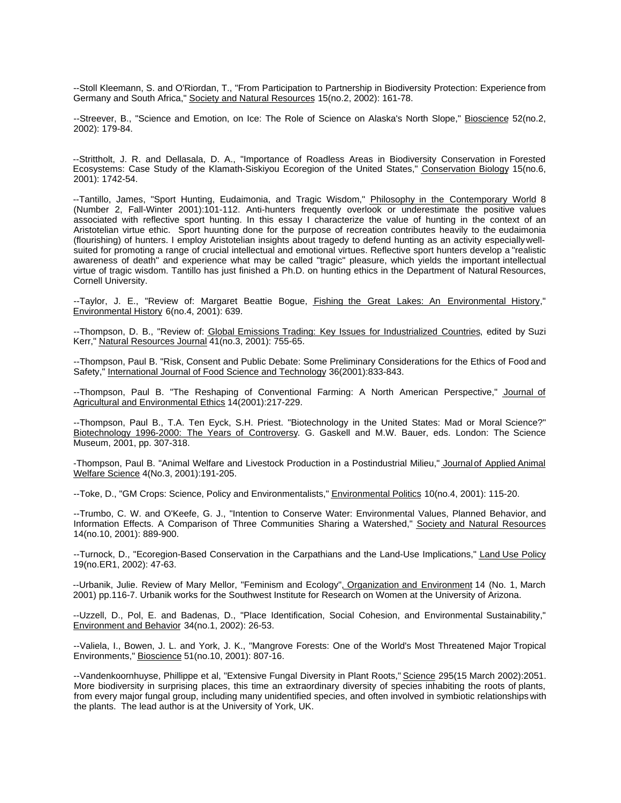--Stoll Kleemann, S. and O'Riordan, T., "From Participation to Partnership in Biodiversity Protection: Experience from Germany and South Africa," Society and Natural Resources 15(no.2, 2002): 161-78.

--Streever, B., "Science and Emotion, on Ice: The Role of Science on Alaska's North Slope," Bioscience 52(no.2, 2002): 179-84.

--Strittholt, J. R. and Dellasala, D. A., "Importance of Roadless Areas in Biodiversity Conservation in Forested Ecosystems: Case Study of the Klamath-Siskiyou Ecoregion of the United States," Conservation Biology 15(no.6, 2001): 1742-54.

--Tantillo, James, "Sport Hunting, Eudaimonia, and Tragic Wisdom," Philosophy in the Contemporary World 8 (Number 2, Fall-Winter 2001):101-112. Anti-hunters frequently overlook or underestimate the positive values associated with reflective sport hunting. In this essay I characterize the value of hunting in the context of an Aristotelian virtue ethic. Sport huunting done for the purpose of recreation contributes heavily to the eudaimonia (flourishing) of hunters. I employ Aristotelian insights about tragedy to defend hunting as an activity especially wellsuited for promoting a range of crucial intellectual and emotional virtues. Reflective sport hunters develop a "realistic awareness of death" and experience what may be called "tragic" pleasure, which yields the important intellectual virtue of tragic wisdom. Tantillo has just finished a Ph.D. on hunting ethics in the Department of Natural Resources, Cornell University.

--Taylor, J. E., "Review of: Margaret Beattie Bogue, *Fishing the Great Lakes: An Environmental History*," Environmental History 6(no.4, 2001): 639.

--Thompson, D. B., "Review of: Global Emissions Trading: Key Issues for Industrialized Countries, edited by Suzi Kerr," Natural Resources Journal 41(no.3, 2001): 755-65.

--Thompson, Paul B. "Risk, Consent and Public Debate: Some Preliminary Considerations for the Ethics of Food and Safety," International Journal of Food Science and Technology 36(2001):833-843.

--Thompson, Paul B. "The Reshaping of Conventional Farming: A North American Perspective," Journal of Agricultural and Environmental Ethics 14(2001):217-229.

--Thompson, Paul B., T.A. Ten Eyck, S.H. Priest. "Biotechnology in the United States: Mad or Moral Science?" Biotechnology 1996-2000: The Years of Controversy. G. Gaskell and M.W. Bauer, eds. London: The Science Museum, 2001, pp. 307-318.

-Thompson, Paul B. "Animal Welfare and Livestock Production in a Postindustrial Milieu," Journal of Applied Animal Welfare Science 4(No.3, 2001):191-205.

--Toke, D., "GM Crops: Science, Policy and Environmentalists," Environmental Politics 10(no.4, 2001): 115-20.

--Trumbo, C. W. and O'Keefe, G. J., "Intention to Conserve Water: Environmental Values, Planned Behavior, and Information Effects. A Comparison of Three Communities Sharing a Watershed," Society and Natural Resources 14(no.10, 2001): 889-900.

--Turnock, D., "Ecoregion-Based Conservation in the Carpathians and the Land-Use Implications," Land Use Policy 19(no.ER1, 2002): 47-63.

--Urbanik, Julie. Review of Mary Mellor, "Feminism and Ecology", Organization and Environment 14 (No. 1, March 2001) pp.116-7. Urbanik works for the Southwest Institute for Research on Women at the University of Arizona.

--Uzzell, D., Pol, E. and Badenas, D., "Place Identification, Social Cohesion, and Environmental Sustainability," Environment and Behavior 34(no.1, 2002): 26-53.

--Valiela, I., Bowen, J. L. and York, J. K., "Mangrove Forests: One of the World's Most Threatened Major Tropical Environments," Bioscience 51(no.10, 2001): 807-16.

--Vandenkoornhuyse, Phillippe et al, "Extensive Fungal Diversity in Plant Roots," Science 295(15 March 2002):2051. More biodiversity in surprising places, this time an extraordinary diversity of species inhabiting the roots of plants, from every major fungal group, including many unidentified species, and often involved in symbiotic relationships with the plants. The lead author is at the University of York, UK.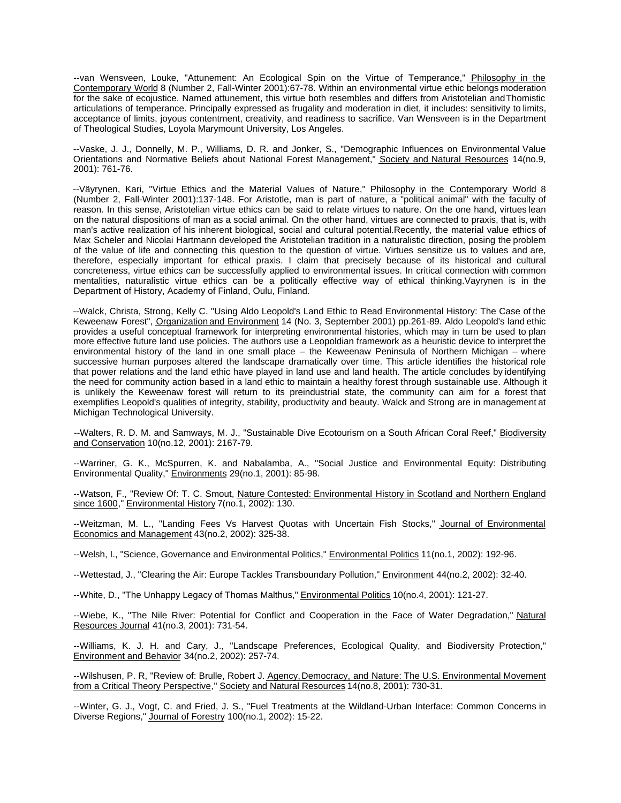--van Wensveen, Louke, "Attunement: An Ecological Spin on the Virtue of Temperance," Philosophy in the Contemporary World 8 (Number 2, Fall-Winter 2001):67-78. Within an environmental virtue ethic belongs moderation for the sake of ecojustice. Named attunement, this virtue both resembles and differs from Aristotelian and Thomistic articulations of temperance. Principally expressed as frugality and moderation in diet, it includes: sensitivity to limits, acceptance of limits, joyous contentment, creativity, and readiness to sacrifice. Van Wensveen is in the Department of Theological Studies, Loyola Marymount University, Los Angeles.

--Vaske, J. J., Donnelly, M. P., Williams, D. R. and Jonker, S., "Demographic Influences on Environmental Value Orientations and Normative Beliefs about National Forest Management," Society and Natural Resources 14(no.9, 2001): 761-76.

--Väyrynen, Kari, "Virtue Ethics and the Material Values of Nature," Philosophy in the Contemporary World 8 (Number 2, Fall-Winter 2001):137-148. For Aristotle, man is part of nature, a "political animal" with the faculty of reason. In this sense, Aristotelian virtue ethics can be said to relate virtues to nature. On the one hand, virtues lean on the natural dispositions of man as a social animal. On the other hand, virtues are connected to praxis, that is, with man's active realization of his inherent biological, social and cultural potential.Recently, the material value ethics of Max Scheler and Nicolai Hartmann developed the Aristotelian tradition in a naturalistic direction, posing the problem of the value of life and connecting this question to the question of virtue. Virtues sensitize us to values and are, therefore, especially important for ethical praxis. I claim that precisely because of its historical and cultural concreteness, virtue ethics can be successfully applied to environmental issues. In critical connection with common mentalities, naturalistic virtue ethics can be a politically effective way of ethical thinking.Vayrynen is in the Department of History, Academy of Finland, Oulu, Finland.

--Walck, Christa, Strong, Kelly C. "Using Aldo Leopold's Land Ethic to Read Environmental History: The Case of the Keweenaw Forest", Organization and Environment 14 (No. 3, September 2001) pp.261-89. Aldo Leopold's land ethic provides a useful conceptual framework for interpreting environmental histories, which may in turn be used to plan more effective future land use policies. The authors use a Leopoldian framework as a heuristic device to interpret the environmental history of the land in one small place – the Keweenaw Peninsula of Northern Michigan – where successive human purposes altered the landscape dramatically over time. This article identifies the historical role that power relations and the land ethic have played in land use and land health. The article concludes by identifying the need for community action based in a land ethic to maintain a healthy forest through sustainable use. Although it is unlikely the Keweenaw forest will return to its preindustrial state, the community can aim for a forest that exemplifies Leopold's qualities of integrity, stability, productivity and beauty. Walck and Strong are in management at Michigan Technological University.

--Walters, R. D. M. and Samways, M. J., "Sustainable Dive Ecotourism on a South African Coral Reef," Biodiversity and Conservation 10(no.12, 2001): 2167-79.

--Warriner, G. K., McSpurren, K. and Nabalamba, A., "Social Justice and Environmental Equity: Distributing Environmental Quality," Environments 29(no.1, 2001): 85-98.

--Watson, F., "Review Of: T. C. Smout, Nature Contested: Environmental History in Scotland and Northern England since 1600," Environmental History 7(no.1, 2002): 130.

--Weitzman, M. L., "Landing Fees Vs Harvest Quotas with Uncertain Fish Stocks," Journal of Environmental Economics and Management 43(no.2, 2002): 325-38.

--Welsh, I., "Science, Governance and Environmental Politics," Environmental Politics 11(no.1, 2002): 192-96.

--Wettestad, J., "Clearing the Air: Europe Tackles Transboundary Pollution," Environment 44(no.2, 2002): 32-40.

--White, D., "The Unhappy Legacy of Thomas Malthus," **Environmental Politics 10(no.4, 2001): 121-27.** 

--Wiebe, K., "The Nile River: Potential for Conflict and Cooperation in the Face of Water Degradation," Natural Resources Journal 41(no.3, 2001): 731-54.

--Williams, K. J. H. and Cary, J., "Landscape Preferences, Ecological Quality, and Biodiversity Protection," Environment and Behavior 34(no.2, 2002): 257-74.

--Wilshusen, P. R, "Review of: Brulle, Robert J. Agency, Democracy, and Nature: The U.S. Environmental Movement from a Critical Theory Perspective," Society and Natural Resources 14(no.8, 2001): 730-31.

--Winter, G. J., Vogt, C. and Fried, J. S., "Fuel Treatments at the Wildland-Urban Interface: Common Concerns in Diverse Regions," Journal of Forestry 100(no.1, 2002): 15-22.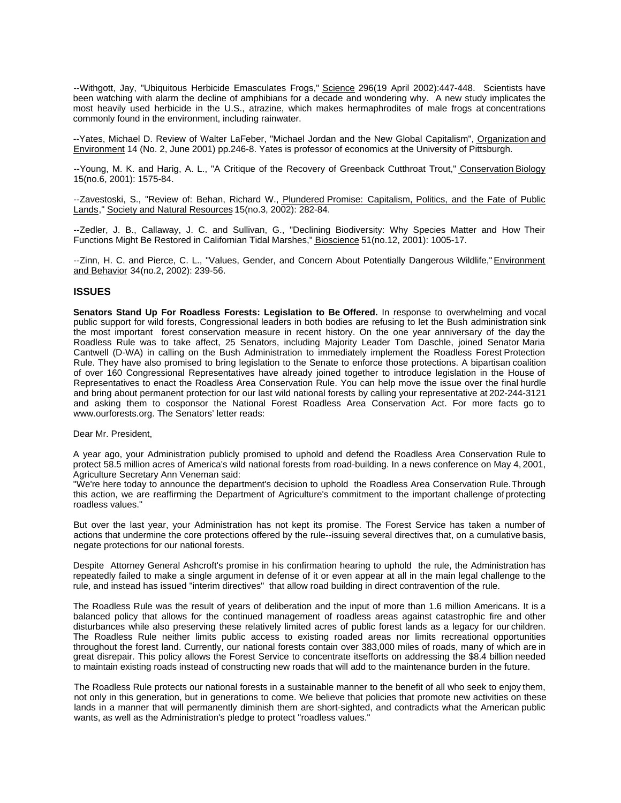--Withgott, Jay, "Ubiquitous Herbicide Emasculates Frogs," Science 296(19 April 2002):447-448. Scientists have been watching with alarm the decline of amphibians for a decade and wondering why. A new study implicates the most heavily used herbicide in the U.S., atrazine, which makes hermaphrodites of male frogs at concentrations commonly found in the environment, including rainwater.

--Yates, Michael D. Review of Walter LaFeber, "Michael Jordan and the New Global Capitalism", Organization and Environment 14 (No. 2, June 2001) pp.246-8. Yates is professor of economics at the University of Pittsburgh.

--Young, M. K. and Harig, A. L., "A Critique of the Recovery of Greenback Cutthroat Trout," Conservation Biology 15(no.6, 2001): 1575-84.

--Zavestoski, S., "Review of: Behan, Richard W., *Plundered Promise: Capitalism, Politics, and the Fate of Public* Lands," Society and Natural Resources 15(no.3, 2002): 282-84.

--Zedler, J. B., Callaway, J. C. and Sullivan, G., "Declining Biodiversity: Why Species Matter and How Their Functions Might Be Restored in Californian Tidal Marshes," Bioscience 51(no.12, 2001): 1005-17.

--Zinn, H. C. and Pierce, C. L., "Values, Gender, and Concern About Potentially Dangerous Wildlife," Environment and Behavior 34(no.2, 2002): 239-56.

### **ISSUES**

**Senators Stand Up For Roadless Forests: Legislation to Be Offered.** In response to overwhelming and vocal public support for wild forests, Congressional leaders in both bodies are refusing to let the Bush administration sink the most important forest conservation measure in recent history. On the one year anniversary of the day the Roadless Rule was to take affect, 25 Senators, including Majority Leader Tom Daschle, joined Senator Maria Cantwell (D-WA) in calling on the Bush Administration to immediately implement the Roadless Forest Protection Rule. They have also promised to bring legislation to the Senate to enforce those protections. A bipartisan coalition of over 160 Congressional Representatives have already joined together to introduce legislation in the House of Representatives to enact the Roadless Area Conservation Rule. You can help move the issue over the final hurdle and bring about permanent protection for our last wild national forests by calling your representative at 202-244-3121 and asking them to cosponsor the National Forest Roadless Area Conservation Act. For more facts go to www.ourforests.org. The Senators' letter reads:

Dear Mr. President,

A year ago, your Administration publicly promised to uphold and defend the Roadless Area Conservation Rule to protect 58.5 million acres of America's wild national forests from road-building. In a news conference on May 4, 2001, Agriculture Secretary Ann Veneman said:

"We're here today to announce the department's decision to uphold the Roadless Area Conservation Rule. Through this action, we are reaffirming the Department of Agriculture's commitment to the important challenge of protecting roadless values."

But over the last year, your Administration has not kept its promise. The Forest Service has taken a number of actions that undermine the core protections offered by the rule--issuing several directives that, on a cumulative basis, negate protections for our national forests.

Despite Attorney General Ashcroft's promise in his confirmation hearing to uphold the rule, the Administration has repeatedly failed to make a single argument in defense of it or even appear at all in the main legal challenge to the rule, and instead has issued "interim directives" that allow road building in direct contravention of the rule.

The Roadless Rule was the result of years of deliberation and the input of more than 1.6 million Americans. It is a balanced policy that allows for the continued management of roadless areas against catastrophic fire and other disturbances while also preserving these relatively limited acres of public forest lands as a legacy for our children. The Roadless Rule neither limits public access to existing roaded areas nor limits recreational opportunities throughout the forest land. Currently, our national forests contain over 383,000 miles of roads, many of which are in great disrepair. This policy allows the Forest Service to concentrate itsefforts on addressing the \$8.4 billion needed to maintain existing roads instead of constructing new roads that will add to the maintenance burden in the future.

The Roadless Rule protects our national forests in a sustainable manner to the benefit of all who seek to enjoy them, not only in this generation, but in generations to come. We believe that policies that promote new activities on these lands in a manner that will permanently diminish them are short-sighted, and contradicts what the American public wants, as well as the Administration's pledge to protect "roadless values."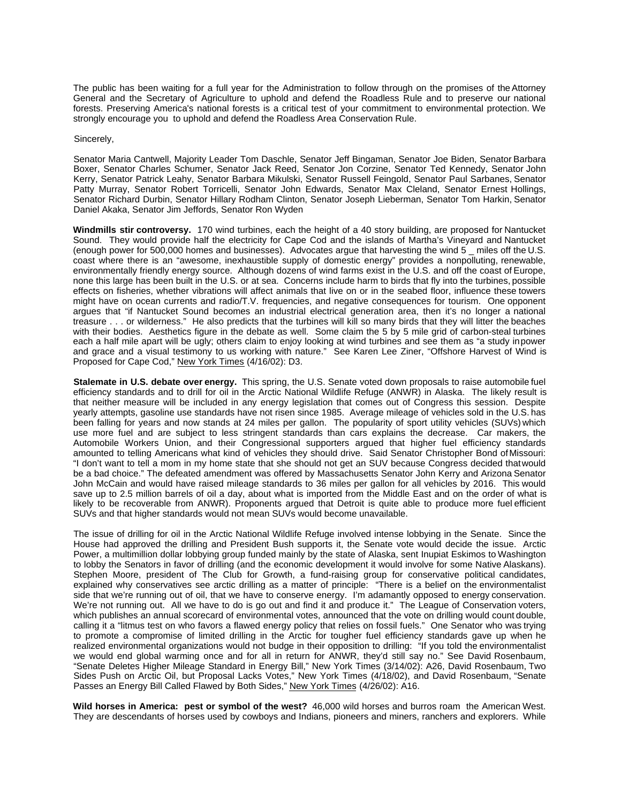The public has been waiting for a full year for the Administration to follow through on the promises of the Attorney General and the Secretary of Agriculture to uphold and defend the Roadless Rule and to preserve our national forests. Preserving America's national forests is a critical test of your commitment to environmental protection. We strongly encourage you to uphold and defend the Roadless Area Conservation Rule.

#### Sincerely,

Senator Maria Cantwell, Majority Leader Tom Daschle, Senator Jeff Bingaman, Senator Joe Biden, Senator Barbara Boxer, Senator Charles Schumer, Senator Jack Reed, Senator Jon Corzine, Senator Ted Kennedy, Senator John Kerry, Senator Patrick Leahy, Senator Barbara Mikulski, Senator Russell Feingold, Senator Paul Sarbanes, Senator Patty Murray, Senator Robert Torricelli, Senator John Edwards, Senator Max Cleland, Senator Ernest Hollings, Senator Richard Durbin, Senator Hillary Rodham Clinton, Senator Joseph Lieberman, Senator Tom Harkin, Senator Daniel Akaka, Senator Jim Jeffords, Senator Ron Wyden

**Windmills stir controversy.** 170 wind turbines, each the height of a 40 story building, are proposed for Nantucket Sound. They would provide half the electricity for Cape Cod and the islands of Martha's Vineyard and Nantucket (enough power for 500,000 homes and businesses). Advocates argue that harvesting the wind 5 \_ miles off the U.S. coast where there is an "awesome, inexhaustible supply of domestic energy" provides a nonpolluting, renewable, environmentally friendly energy source. Although dozens of wind farms exist in the U.S. and off the coast of Europe, none this large has been built in the U.S. or at sea. Concerns include harm to birds that fly into the turbines, possible effects on fisheries, whether vibrations will affect animals that live on or in the seabed floor, influence these towers might have on ocean currents and radio/T.V. frequencies, and negative consequences for tourism. One opponent argues that "if Nantucket Sound becomes an industrial electrical generation area, then it's no longer a national treasure . . . or wilderness." He also predicts that the turbines will kill so many birds that they will litter the beaches with their bodies. Aesthetics figure in the debate as well. Some claim the 5 by 5 mile grid of carbon-steal turbines each a half mile apart will be ugly; others claim to enjoy looking at wind turbines and see them as "a study in power and grace and a visual testimony to us working with nature." See Karen Lee Ziner, "Offshore Harvest of Wind is Proposed for Cape Cod," New York Times (4/16/02): D3.

**Stalemate in U.S. debate over energy.** This spring, the U.S. Senate voted down proposals to raise automobile fuel efficiency standards and to drill for oil in the Arctic National Wildlife Refuge (ANWR) in Alaska. The likely result is that neither measure will be included in any energy legislation that comes out of Congress this session. Despite yearly attempts, gasoline use standards have not risen since 1985. Average mileage of vehicles sold in the U.S. has been falling for years and now stands at 24 miles per gallon. The popularity of sport utility vehicles (SUVs) which use more fuel and are subject to less stringent standards than cars explains the decrease. Car makers, the Automobile Workers Union, and their Congressional supporters argued that higher fuel efficiency standards amounted to telling Americans what kind of vehicles they should drive. Said Senator Christopher Bond of Missouri: "I don't want to tell a mom in my home state that she should not get an SUV because Congress decided that would be a bad choice." The defeated amendment was offered by Massachusetts Senator John Kerry and Arizona Senator John McCain and would have raised mileage standards to 36 miles per gallon for all vehicles by 2016. This would save up to 2.5 million barrels of oil a day, about what is imported from the Middle East and on the order of what is likely to be recoverable from ANWR). Proponents argued that Detroit is quite able to produce more fuel efficient SUVs and that higher standards would not mean SUVs would become unavailable.

The issue of drilling for oil in the Arctic National Wildlife Refuge involved intense lobbying in the Senate. Since the House had approved the drilling and President Bush supports it, the Senate vote would decide the issue. Arctic Power, a multimillion dollar lobbying group funded mainly by the state of Alaska, sent Inupiat Eskimos to Washington to lobby the Senators in favor of drilling (and the economic development it would involve for some Native Alaskans). Stephen Moore, president of The Club for Growth, a fund-raising group for conservative political candidates, explained why conservatives see arctic drilling as a matter of principle: "There is a belief on the environmentalist side that we're running out of oil, that we have to conserve energy. I'm adamantly opposed to energy conservation. We're not running out. All we have to do is go out and find it and produce it." The League of Conservation voters, which publishes an annual scorecard of environmental votes, announced that the vote on drilling would count double, calling it a "litmus test on who favors a flawed energy policy that relies on fossil fuels." One Senator who was trying to promote a compromise of limited drilling in the Arctic for tougher fuel efficiency standards gave up when he realized environmental organizations would not budge in their opposition to drilling: "If you told the environmentalist we would end global warming once and for all in return for ANWR, they'd still say no." See David Rosenbaum, "Senate Deletes Higher Mileage Standard in Energy Bill," New York Times (3/14/02): A26, David Rosenbaum, Two Sides Push on Arctic Oil, but Proposal Lacks Votes," New York Times (4/18/02), and David Rosenbaum, "Senate Passes an Energy Bill Called Flawed by Both Sides," New York Times (4/26/02): A16.

**Wild horses in America: pest or symbol of the west?** 46,000 wild horses and burros roam the American West. They are descendants of horses used by cowboys and Indians, pioneers and miners, ranchers and explorers. While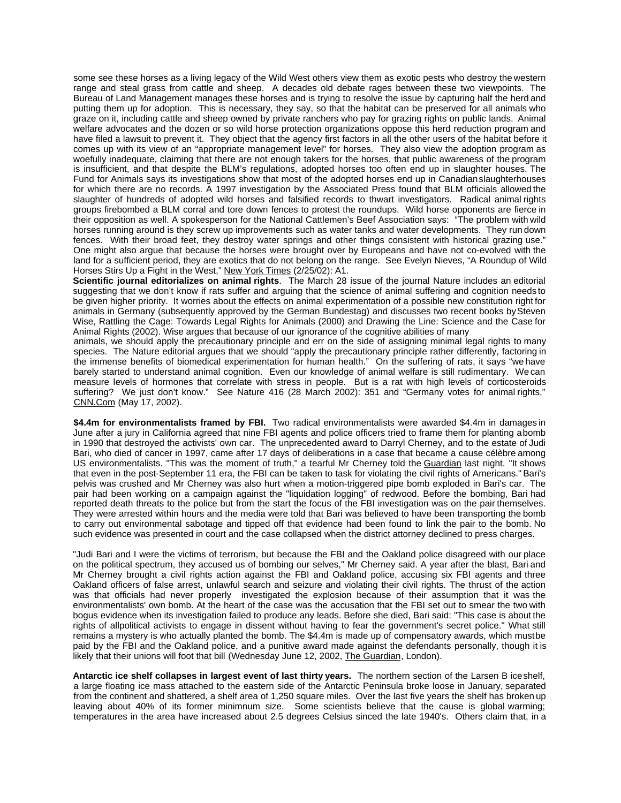some see these horses as a living legacy of the Wild West others view them as exotic pests who destroy the western range and steal grass from cattle and sheep. A decades old debate rages between these two viewpoints. The Bureau of Land Management manages these horses and is trying to resolve the issue by capturing half the herd and putting them up for adoption. This is necessary, they say, so that the habitat can be preserved for all animals who graze on it, including cattle and sheep owned by private ranchers who pay for grazing rights on public lands. Animal welfare advocates and the dozen or so wild horse protection organizations oppose this herd reduction program and have filed a lawsuit to prevent it. They object that the agency first factors in all the other users of the habitat before it comes up with its view of an "appropriate management level" for horses. They also view the adoption program as woefully inadequate, claiming that there are not enough takers for the horses, that public awareness of the program is insufficient, and that despite the BLM's regulations, adopted horses too often end up in slaughter houses. The Fund for Animals says its investigations show that most of the adopted horses end up in Canadian slaughterhouses for which there are no records. A 1997 investigation by the Associated Press found that BLM officials allowed the slaughter of hundreds of adopted wild horses and falsified records to thwart investigators. Radical animal rights groups firebombed a BLM corral and tore down fences to protest the roundups. Wild horse opponents are fierce in their opposition as well. A spokesperson for the National Cattlemen's Beef Association says: "The problem with wild horses running around is they screw up improvements such as water tanks and water developments. They run down fences. With their broad feet, they destroy water springs and other things consistent with historical grazing use." One might also argue that because the horses were brought over by Europeans and have not co-evolved with the land for a sufficient period, they are exotics that do not belong on the range. See Evelyn Nieves, "A Roundup of Wild Horses Stirs Up a Fight in the West," New York Times (2/25/02): A1.

**Scientific journal editorializes on animal rights**. The March 28 issue of the journal Nature includes an editorial suggesting that we don't know if rats suffer and arguing that the science of animal suffering and cognition needs to be given higher priority. It worries about the effects on animal experimentation of a possible new constitution right for animals in Germany (subsequently approved by the German Bundestag) and discusses two recent books by Steven Wise, Rattling the Cage: Towards Legal Rights for Animals (2000) and Drawing the Line: Science and the Case for Animal Rights (2002). Wise argues that because of our ignorance of the cognitive abilities of many

animals, we should apply the precautionary principle and err on the side of assigning minimal legal rights to many species. The Nature editorial argues that we should "apply the precautionary principle rather differently, factoring in the immense benefits of biomedical experimentation for human health." On the suffering of rats, it says "we have barely started to understand animal cognition. Even our knowledge of animal welfare is still rudimentary. We can measure levels of hormones that correlate with stress in people. But is a rat with high levels of corticosteroids suffering? We just don't know." See Nature 416 (28 March 2002): 351 and "Germany votes for animal rights," CNN.Com (May 17, 2002).

\$4.4m for environmentalists framed by FBI. Two radical environmentalists were awarded \$4.4m in damages in June after a jury in California agreed that nine FBI agents and police officers tried to frame them for planting a bomb in 1990 that destroyed the activists' own car. The unprecedented award to Darryl Cherney, and to the estate of Judi Bari, who died of cancer in 1997, came after 17 days of deliberations in a case that became a cause célèbre among US environmentalists. "This was the moment of truth," a tearful Mr Cherney told the Guardian last night. "It shows that even in the post-September 11 era, the FBI can be taken to task for violating the civil rights of Americans." Bari's pelvis was crushed and Mr Cherney was also hurt when a motion-triggered pipe bomb exploded in Bari's car. The pair had been working on a campaign against the "liquidation logging" of redwood. Before the bombing, Bari had reported death threats to the police but from the start the focus of the FBI investigation was on the pair themselves. They were arrested within hours and the media were told that Bari was believed to have been transporting the bomb to carry out environmental sabotage and tipped off that evidence had been found to link the pair to the bomb. No such evidence was presented in court and the case collapsed when the district attorney declined to press charges.

"Judi Bari and I were the victims of terrorism, but because the FBI and the Oakland police disagreed with our place on the political spectrum, they accused us of bombing our selves," Mr Cherney said. A year after the blast, Bari and Mr Cherney brought a civil rights action against the FBI and Oakland police, accusing six FBI agents and three Oakland officers of false arrest, unlawful search and seizure and violating their civil rights. The thrust of the action was that officials had never properly investigated the explosion because of their assumption that it was the environmentalists' own bomb. At the heart of the case was the accusation that the FBI set out to smear the two with bogus evidence when its investigation failed to produce any leads. Before she died, Bari said: "This case is about the rights of allpolitical activists to engage in dissent without having to fear the government's secret police." What still remains a mystery is who actually planted the bomb. The \$4.4m is made up of compensatory awards, which must be paid by the FBI and the Oakland police, and a punitive award made against the defendants personally, though it is likely that their unions will foot that bill (Wednesday June 12, 2002, The Guardian, London).

**Antarctic ice shelf collapses in largest event of last thirty years.** The northern section of the Larsen B ice shelf, a large floating ice mass attached to the eastern side of the Antarctic Peninsula broke loose in January, separated from the continent and shattered, a shelf area of 1,250 square miles. Over the last five years the shelf has broken up leaving about 40% of its former minimnum size. Some scientists believe that the cause is global warming; temperatures in the area have increased about 2.5 degrees Celsius sinced the late 1940's. Others claim that, in a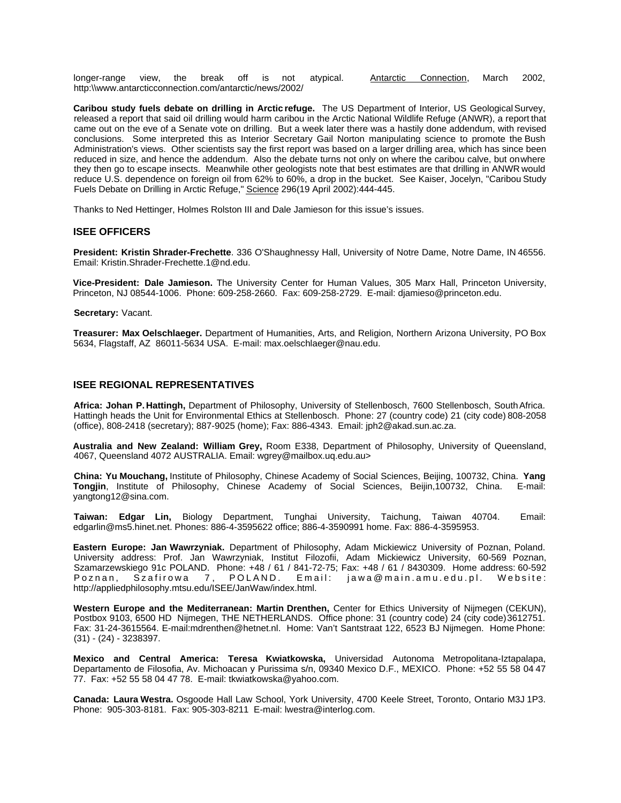longer-range view, the break off is not atypical. Antarctic Connection, March 2002, http:\\www.antarcticconnection.com/antarctic/news/2002/

**Caribou study fuels debate on drilling in Arctic refuge.** The US Department of Interior, US Geological Survey, released a report that said oil drilling would harm caribou in the Arctic National Wildlife Refuge (ANWR), a report that came out on the eve of a Senate vote on drilling. But a week later there was a hastily done addendum, with revised conclusions. Some interpreted this as Interior Secretary Gail Norton manipulating science to promote the Bush Administration's views. Other scientists say the first report was based on a larger drilling area, which has since been reduced in size, and hence the addendum. Also the debate turns not only on where the caribou calve, but on where they then go to escape insects. Meanwhile other geologists note that best estimates are that drilling in ANWR would reduce U.S. dependence on foreign oil from 62% to 60%, a drop in the bucket. See Kaiser, Jocelyn, "Caribou Study Fuels Debate on Drilling in Arctic Refuge," Science 296(19 April 2002):444-445.

Thanks to Ned Hettinger, Holmes Rolston III and Dale Jamieson for this issue's issues.

### **ISEE OFFICERS**

**President: Kristin Shrader-Frechette**. 336 O'Shaughnessy Hall, University of Notre Dame, Notre Dame, IN 46556. Email: Kristin.Shrader-Frechette.1@nd.edu.

**Vice-President: Dale Jamieson.** The University Center for Human Values, 305 Marx Hall, Princeton University, Princeton, NJ 08544-1006. Phone: 609-258-2660. Fax: 609-258-2729. E-mail: djamieso@princeton.edu.

**Secretary:** Vacant.

**Treasurer: Max Oelschlaeger.** Department of Humanities, Arts, and Religion, Northern Arizona University, PO Box 5634, Flagstaff, AZ 86011-5634 USA. E-mail: max.oelschlaeger@nau.edu.

### **ISEE REGIONAL REPRESENTATIVES**

**Africa: Johan P. Hattingh,** Department of Philosophy, University of Stellenbosch, 7600 Stellenbosch, South Africa. Hattingh heads the Unit for Environmental Ethics at Stellenbosch. Phone: 27 (country code) 21 (city code) 808-2058 (office), 808-2418 (secretary); 887-9025 (home); Fax: 886-4343. Email: jph2@akad.sun.ac.za.

**Australia and New Zealand: William Grey,** Room E338, Department of Philosophy, University of Queensland, 4067, Queensland 4072 AUSTRALIA. Email: wgrey@mailbox.uq.edu.au>

**China: Yu Mouchang,** Institute of Philosophy, Chinese Academy of Social Sciences, Beijing, 100732, China. **Yang Tongjin**, Institute of Philosophy, Chinese Academy of Social Sciences, Beijin,100732, China. E-mail: yangtong12@sina.com.

**Taiwan: Edgar Lin,** Biology Department, Tunghai University, Taichung, Taiwan 40704. Email: edgarlin@ms5.hinet.net. Phones: 886-4-3595622 office; 886-4-3590991 home. Fax: 886-4-3595953.

**Eastern Europe: Jan Wawrzyniak.** Department of Philosophy, Adam Mickiewicz University of Poznan, Poland. University address: Prof. Jan Wawrzyniak, Institut Filozofii, Adam Mickiewicz University, 60-569 Poznan, Szamarzewskiego 91c POLAND. Phone: +48 / 61 / 841-72-75; Fax: +48 / 61 / 8430309. Home address: 60-592 Poznan, Szafirowa 7, POLAND. Email: jawa@main.amu.edu.pl. Website: http://appliedphilosophy.mtsu.edu/ISEE/JanWaw/index.html.

**Western Europe and the Mediterranean: Martin Drenthen,** Center for Ethics University of Nijmegen (CEKUN), Postbox 9103, 6500 HD Nijmegen, THE NETHERLANDS. Office phone: 31 (country code) 24 (city code) 3612751. Fax: 31-24-3615564. E-mail:mdrenthen@hetnet.nl. Home: Van't Santstraat 122, 6523 BJ Nijmegen. Home Phone: (31) - (24) - 3238397.

**Mexico and Central America: Teresa Kwiatkowska,** Universidad Autonoma Metropolitana-Iztapalapa, Departamento de Filosofia, Av. Michoacan y Purissima s/n, 09340 Mexico D.F., MEXICO. Phone: +52 55 58 04 47 77. Fax: +52 55 58 04 47 78. E-mail: tkwiatkowska@yahoo.com.

**Canada: Laura Westra.** Osgoode Hall Law School, York University, 4700 Keele Street, Toronto, Ontario M3J 1P3. Phone: 905-303-8181. Fax: 905-303-8211 E-mail: lwestra@interlog.com.